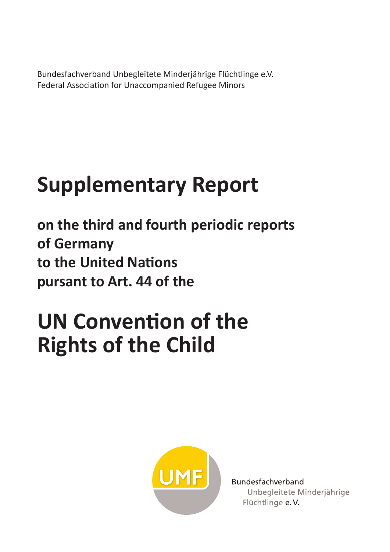Bundesfachverband Unbegleitete Minderjährige Flüchtlinge e.V. Federal Association for Unaccompanied Refugee Minors

# **Supplementary Report**

**on the third and fourth periodic reports of Germany to the United Nations pursant to Art. 44 of the** 

# **UN Convention of the Rights of the Child**



Bundesfachverband Unbegleitete Minderjährige Flüchtlinge e.V.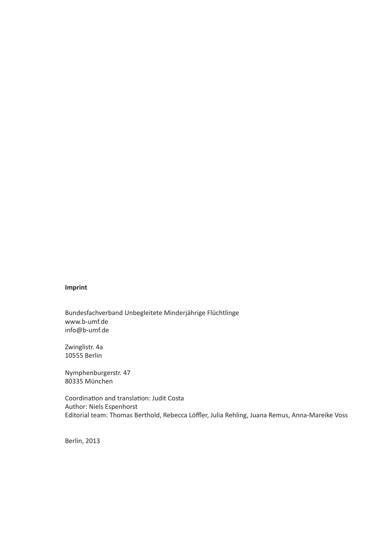#### **Imprint**

Bundesfachverband Unbegleitete Minderjährige Flüchtlinge www.b-umf.de info@b-umf.de

Zwinglistr. 4a 10555 Berlin

Nymphenburgerstr. 47 80335 München

Coordination and translation: Judit Costa Author: Niels Espenhorst Editorial team: Thomas Berthold, Rebecca Löffler, Julia Rehling, Juana Remus, Anna-Mareike Voss

Berlin, 2013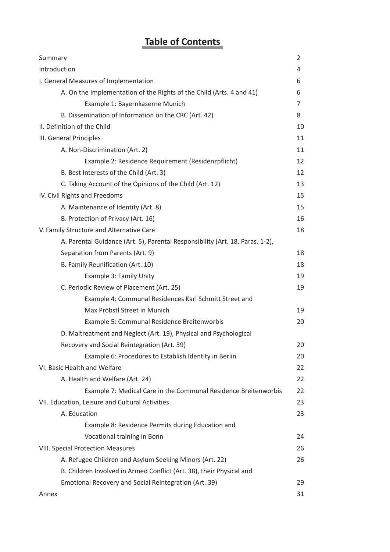# **Table of Contents**

| Summary                                                                       | $\overline{2}$ |
|-------------------------------------------------------------------------------|----------------|
| Introduction                                                                  | 4              |
| I. General Measures of Implementation                                         | 6              |
| A. On the Implementation of the Rights of the Child (Arts. 4 and 41)          | 6              |
| Example 1: Bayernkaserne Munich                                               | 7              |
| B. Dissemination of Information on the CRC (Art. 42)                          | 8              |
| II. Definition of the Child                                                   | 10             |
| III. General Principles                                                       | 11             |
| A. Non-Discrimination (Art. 2)                                                | 11             |
| Example 2: Residence Requirement (Residenzpflicht)                            | 12             |
| B. Best Interests of the Child (Art. 3)                                       | 12             |
| C. Taking Account of the Opinions of the Child (Art. 12)                      | 13             |
| IV. Civil Rights and Freedoms                                                 | 15             |
| A. Maintenance of Identity (Art. 8)                                           | 15             |
| B. Protection of Privacy (Art. 16)                                            | 16             |
| V. Family Structure and Alternative Care                                      | 18             |
| A. Parental Guidance (Art. 5), Parental Responsibility (Art. 18, Paras. 1-2), |                |
| Separation from Parents (Art. 9)                                              | 18             |
| B. Family Reunification (Art. 10)                                             | 18             |
| Example 3: Family Unity                                                       | 19             |
| C. Periodic Review of Placement (Art. 25)                                     | 19             |
| Example 4: Communal Residences Karl Schmitt Street and                        |                |
| Max Pröbstl Street in Munich                                                  | 19             |
| Example 5: Communal Residence Breitenworbis                                   | 20             |
| D. Maltreatment and Neglect (Art. 19), Physical and Psychological             |                |
| Recovery and Social Reintegration (Art. 39)                                   | 20             |
| Example 6: Procedures to Establish Identity in Berlin                         | 20             |
| VI. Basic Health and Welfare                                                  | 22             |
| A. Health and Welfare (Art. 24)                                               | 22             |
| Example 7: Medical Care in the Communal Residence Breitenworbis               | 22             |
| VII. Education, Leisure and Cultural Activities                               | 23             |
| A. Education                                                                  | 23             |
| Example 8: Residence Permits during Education and                             |                |
| Vocational training in Bonn                                                   | 24             |
| <b>VIII. Special Protection Measures</b>                                      | 26             |
| A. Refugee Children and Asylum Seeking Minors (Art. 22)                       | 26             |
| B. Children Involved in Armed Conflict (Art. 38), their Physical and          |                |
| Emotional Recovery and Social Reintegration (Art. 39)                         | 29             |
| Annex                                                                         | 31             |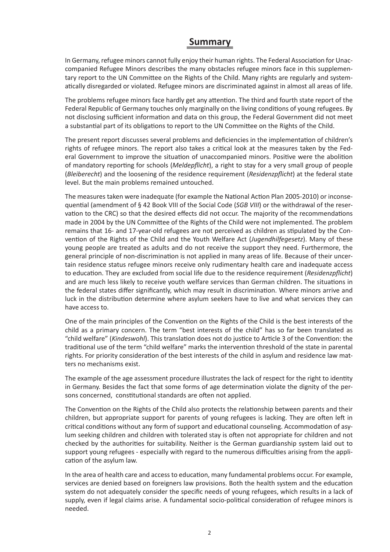#### **Summary**

In Germany, refugee minors cannot fully enjoy their human rights. The Federal Association for Unaccompanied Refugee Minors describes the many obstacles refugee minors face in this supplementary report to the UN Committee on the Rights of the Child. Many rights are regularly and systematically disregarded or violated. Refugee minors are discriminated against in almost all areas of life.

The problems refugee minors face hardly get any attention. The third and fourth state report of the Federal Republic of Germany touches only marginally on the living conditions of young refugees. By not disclosing sufficient information and data on this group, the Federal Government did not meet a substantial part of its obligations to report to the UN Committee on the Rights of the Child.

The present report discusses several problems and deficiencies in the implementation of children's rights of refugee minors. The report also takes a critical look at the measures taken by the Federal Government to improve the situation of unaccompanied minors. Positive were the abolition of mandatory reporting for schools (*Meldepflicht*), a right to stay for a very small group of people (*Bleiberecht*) and the loosening of the residence requirement (*Residenzpflicht*) at the federal state level. But the main problems remained untouched.

The measures taken were inadequate (for example the National Action Plan 2005-2010) or inconsequential (amendment of § 42 Book VIII of the Social Code (*SGB VIII*) or the withdrawal of the reservation to the CRC) so that the desired effects did not occur. The majority of the recommendations made in 2004 by the UN Committee of the Rights of the Child were not implemented. The problem remains that 16- and 17-year-old refugees are not perceived as children as stipulated by the Convention of the Rights of the Child and the Youth Welfare Act (*Jugendhilfegesetz*). Many of these young people are treated as adults and do not receive the support they need. Furthermore, the general principle of non-discrimination is not applied in many areas of life. Because of their uncertain residence status refugee minors receive only rudimentary health care and inadequate access to education. They are excluded from social life due to the residence requirement (*Residenzpflicht*) and are much less likely to receive youth welfare services than German children. The situations in the federal states differ significantly, which may result in discrimination. Where minors arrive and luck in the distribution determine where asylum seekers have to live and what services they can have access to.

One of the main principles of the Convention on the Rights of the Child is the best interests of the child as a primary concern. The term "best interests of the child" has so far been translated as "child welfare" (*Kindeswohl*). This translation does not do justice to Article 3 of the Convention: the traditional use of the term "child welfare" marks the intervention threshold of the state in parental rights. For priority consideration of the best interests of the child in asylum and residence law matters no mechanisms exist.

The example of the age assessment procedure illustrates the lack of respect for the right to identity in Germany. Besides the fact that some forms of age determination violate the dignity of the persons concerned, constitutional standards are often not applied.

The Convention on the Rights of the Child also protects the relationship between parents and their children, but appropriate support for parents of young refugees is lacking. They are often left in critical conditions without any form of support and educational counseling. Accommodation of asylum seeking children and children with tolerated stay is often not appropriate for children and not checked by the authorities for suitability. Neither is the German guardianship system laid out to support young refugees - especially with regard to the numerous difficulties arising from the application of the asylum law.

In the area of health care and access to education, many fundamental problems occur. For example, services are denied based on foreigners law provisions. Both the health system and the education system do not adequately consider the specific needs of young refugees, which results in a lack of supply, even if legal claims arise. A fundamental socio-political consideration of refugee minors is needed.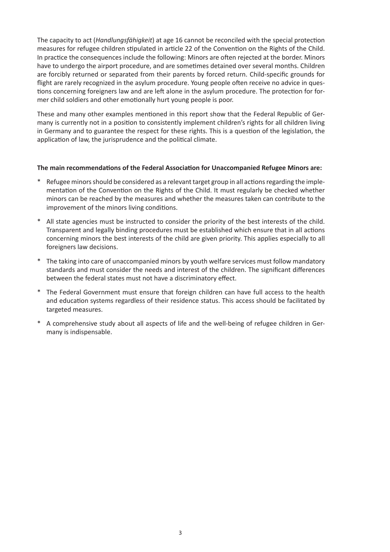The capacity to act (*Handlungsfähigkeit*) at age 16 cannot be reconciled with the special protection measures for refugee children stipulated in article 22 of the Convention on the Rights of the Child. In practice the consequences include the following: Minors are often rejected at the border. Minors have to undergo the airport procedure, and are sometimes detained over several months. Children are forcibly returned or separated from their parents by forced return. Child-specific grounds for flight are rarely recognized in the asylum procedure. Young people often receive no advice in questions concerning foreigners law and are left alone in the asylum procedure. The protection for former child soldiers and other emotionally hurt young people is poor.

These and many other examples mentioned in this report show that the Federal Republic of Germany is currently not in a position to consistently implement children's rights for all children living in Germany and to guarantee the respect for these rights. This is a question of the legislation, the application of law, the jurisprudence and the political climate.

#### **The main recommendations of the Federal Association for Unaccompanied Refugee Minors are:**

- Refugee minors should be considered as a relevant target group in all actions regarding the implementation of the Convention on the Rights of the Child. It must regularly be checked whether minors can be reached by the measures and whether the measures taken can contribute to the improvement of the minors living conditions.
- \* All state agencies must be instructed to consider the priority of the best interests of the child. Transparent and legally binding procedures must be established which ensure that in all actions concerning minors the best interests of the child are given priority. This applies especially to all foreigners law decisions.
- \* The taking into care of unaccompanied minors by youth welfare services must follow mandatory standards and must consider the needs and interest of the children. The significant differences between the federal states must not have a discriminatory effect.
- The Federal Government must ensure that foreign children can have full access to the health and education systems regardless of their residence status. This access should be facilitated by targeted measures.
- A comprehensive study about all aspects of life and the well-being of refugee children in Germany is indispensable.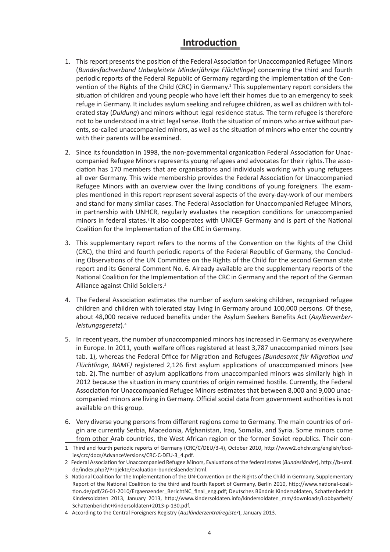# **Introduction**

- 1. This report presents the position of the Federal Association for Unaccompanied Refugee Minors (*Bundesfachverband Unbegleitete Minderjährige Flüchtlinge*) concerning the third and fourth periodic reports of the Federal Republic of Germany regarding the implementation of the Convention of the Rights of the Child (CRC) in Germany.<sup>1</sup> This supplementary report considers the situation of children and young people who have left their homes due to an emergency to seek refuge in Germany. It includes asylum seeking and refugee children, as well as children with tolerated stay (*Duldung*) and minors without legal residence status. The term refugee is therefore not to be understood in a strict legal sense. Both the situation of minors who arrive without parents, so-called unaccompanied minors, as well as the situation of minors who enter the country with their parents will be examined.
- 2. Since its foundation in 1998, the non-governmental organication Federal Association for Unaccompanied Refugee Minors represents young refugees and advocates for their rights.The association has 170 members that are organisations and individuals working with young refugees all over Germany. This wide membership provides the Federal Association for Unaccompanied Refugee Minors with an overview over the living conditions of young foreigners. The examples mentioned in this report represent several aspects of the every-day-work of our members and stand for many similar cases. The Federal Association for Unaccompanied Refugee Minors, in partnership with UNHCR, regularly evaluates the reception conditions for unaccompanied minors in federal states.<sup>2</sup> It also cooperates with UNICEF Germany and is part of the National Coalition for the Implementation of the CRC in Germany.
- 3. This supplementary report refers to the norms of the Convention on the Rights of the Child (CRC), the third and fourth periodic reports of the Federal Republic of Germany, the Concluding Observations of the UN Committee on the Rights of the Child for the second German state report and its General Comment No. 6. Already available are the supplementary reports of the National Coalition for the Implementation of the CRC in Germany and the report of the German Alliance against Child Soldiers.3
- 4. The Federal Association estimates the number of asylum seeking children, recognised refugee children and children with tolerated stay living in Germany around 100,000 persons. Of these, about 48,000 receive reduced benefits under the Asylum Seekers Benefits Act (*Asylbewerberleistungsgesetz*).<sup>4</sup>
- 5. In recent years, the number of unaccompanied minors has increased in Germany as everywhere in Europe. In 2011, youth welfare offices registered at least 3,787 unaccompanied minors (see tab. 1), whereas the Federal Office for Migration and Refugees *(Bundesamt für Migration und Flüchtlinge, BAMF)* registered 2,126 first asylum applications of unaccompanied minors (see tab. 2). The number of asylum applications from unaccompanied minors was similarly high in 2012 because the situation in many countries of origin remained hostile. Currently, the Federal Association for Unaccompanied Refugee Minors estimates that between 8,000 and 9,000 unaccompanied minors are living in Germany. Official social data from government authorities is not available on this group.
- 6. Very diverse young persons from different regions come to Germany. The main countries of origin are currently Serbia, Macedonia, Afghanistan, Iraq, Somalia, and Syria. Some minors come from other Arab countries, the West African region or the former Soviet republics. Their con-

<sup>1</sup> Third and fourth periodic reports of Germany (CRC/C/DEU/3-4), October 2010, http://www2.ohchr.org/english/bodies/crc/docs/AdvanceVersions/CRC-C-DEU-3\_4.pdf.

<sup>2</sup> Federal Association for Unaccompanied Refugee Minors, Evaluations of the federal states (*Bundesländer*), http://b-umf. de/index.php?/Projekte/evaluation-bundeslaender.html.

<sup>3</sup> National Coalition for the Implementation of the UN-Convention on the Rights of the Child in Germany, Supplementary Report of the National Coalition to the third and fourth Report of Germany, Berlin 2010, http://www.national-coalition.de/pdf/26-01-2010/Ergaenzender\_BerichtNC\_final\_eng.pdf; Deutsches Bündnis Kindersoldaten, Schattenbericht Kindersoldaten 2013, January 2013, http://www.kindersoldaten.info/kindersoldaten\_mm/downloads/Lobbyarbeit/ Schattenbericht+Kindersoldaten+2013-p-130.pdf.

<sup>4</sup> According to the Central Foreigners Registry (*Ausländerzentralregister*), January 2013.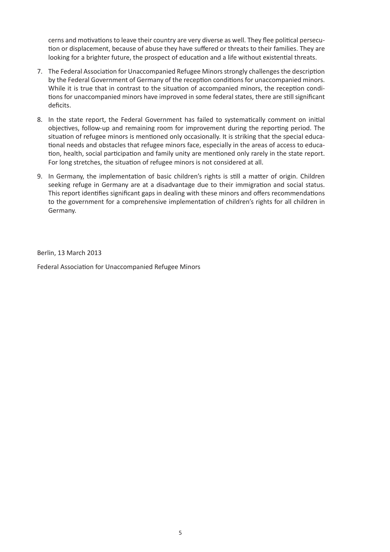cerns and motivations to leave their country are very diverse as well. They flee political persecution or displacement, because of abuse they have suffered or threats to their families. They are looking for a brighter future, the prospect of education and a life without existential threats.

- 7. The Federal Association for Unaccompanied Refugee Minors strongly challenges the description by the Federal Government of Germany of the reception conditions for unaccompanied minors. While it is true that in contrast to the situation of accompanied minors, the reception conditions for unaccompanied minors have improved in some federal states, there are still significant deficits.
- 8. In the state report, the Federal Government has failed to systematically comment on initial objectives, follow-up and remaining room for improvement during the reporting period. The situation of refugee minors is mentioned only occasionally. It is striking that the special educational needs and obstacles that refugee minors face, especially in the areas of access to education, health, social participation and family unity are mentioned only rarely in the state report. For long stretches, the situation of refugee minors is not considered at all.
- 9. In Germany, the implementation of basic children's rights is still a matter of origin. Children seeking refuge in Germany are at a disadvantage due to their immigration and social status. This report identifies significant gaps in dealing with these minors and offers recommendations to the government for a comprehensive implementation of children's rights for all children in Germany.

Berlin, 13 March 2013

Federal Association for Unaccompanied Refugee Minors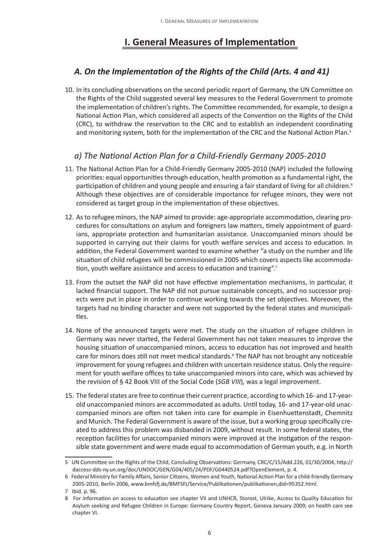# **I. General Measures of Implementation**

## *A. On the Implementation of the Rights of the Child (Arts. 4 and 41)*

10. In its concluding observations on the second periodic report of Germany, the UN Committee on the Rights of the Child suggested several key measures to the Federal Government to promote the implementation of children's rights. The Committee recommended, for example, to design a National Action Plan, which considered all aspects of the Convention on the Rights of the Child (CRC), to withdraw the reservation to the CRC and to establish an independent coordinating and monitoring system, both for the implementation of the CRC and the National Action Plan.<sup>5</sup>

#### *a) The National Action Plan for a Child-Friendly Germany 2005-2010*

- 11. The National Action Plan for a Child-Friendly Germany 2005-2010 (NAP) included the following priorities: equal opportunities through education, health promotion as a fundamental right, the participation of children and young people and ensuring a fair standard of living for all children.<sup>6</sup> Although these objectives are of considerable importance for refugee minors, they were not considered as target group in the implementation of these objectives.
- 12. As to refugee minors, the NAP aimed to provide: age-appropriate accommodation, clearing procedures for consultations on asylum and foreigners law matters, timely appointment of guardians, appropriate protection and humanitarian assistance. Unaccompanied minors should be supported in carrying out their claims for youth welfare services and access to education. In addition, the Federal Government wanted to examine whether "a study on the number and life situation of child refugees will be commissioned in 2005 which covers aspects like accommodation, youth welfare assistance and access to education and training".<sup>7</sup>
- 13. From the outset the NAP did not have effective implementation mechanisms, in particular, it lacked financial support. The NAP did not pursue sustainable concepts, and no successor projects were put in place in order to continue working towards the set objectives. Moreover, the targets had no binding character and were not supported by the federal states and municipalities.
- 14. None of the announced targets were met. The study on the situation of refugee children in Germany was never started, the Federal Government has not taken measures to improve the housing situation of unaccompanied minors, access to education has not improved and health care for minors does still not meet medical standards.<sup>8</sup> The NAP has not brought any noticeable improvement for young refugees and children with uncertain residence status. Only the requirement for youth welfare offices to take unaccompanied minors into care, which was achieved by the revision of § 42 Book VIII of the Social Code (*SGB VIII*), was a legal improvement.
- 15. The federal states are free to continue their current practice, according to which 16- and 17-yearold unaccompanied minors are accommodated as adults. Until today, 16- and 17-year-old unaccompanied minors are often not taken into care for example in Eisenhuettenstadt, Chemnitz and Munich. The Federal Government is aware of the issue, but a working group specifically created to address this problem was disbanded in 2009, without result. In some federal states, the reception facilities for unaccompanied minors were improved at the instigation of the responsible state government and were made equal to accommodation of German youth, e.g. in North

<sup>5</sup> UN Committee on the Rights of the Child, Concluding Observations: Germany, CRC/C/15/Add.226, 01/30/2004, http:// daccess-dds-ny.un.org/doc/UNDOC/GEN/G04/405/24/PDF/G0440524.pdf?OpenElement, p. 4.

<sup>6</sup> Federal Ministry for Family Affairs, Senior Citizens, Women and Youth, National Action Plan for a child-friendly Germany 2005-2010, Berlin 2006, www.bmfsfj.de/BMFSFJ/Service/Publikationen/publikationen,did=95352.html.

<sup>7</sup> Ibid. p. 96.

<sup>8</sup> For information on access to education see chapter VII and UNHCR, Storost, Ulrike, Access to Quality Education for Asylum seeking and Refugee Children in Europe: Germany Country Report, Geneva January 2009; on health care see chapter VI.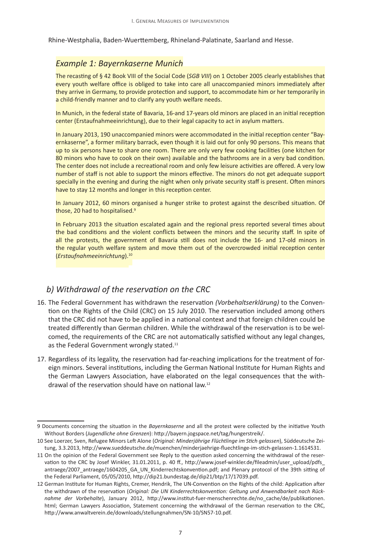Rhine-Westphalia, Baden-Wuerttemberg, Rhineland-Palatinate, Saarland and Hesse.

#### *Example 1: Bayernkaserne Munich*

The recasting of § 42 Book VIII of the Social Code (*SGB VIII*) on 1 October 2005 clearly establishes that every youth welfare office is obliged to take into care all unaccompanied minors immediately after they arrive in Germany, to provide protection and support, to accommodate him or her temporarily in a child-friendly manner and to clarify any youth welfare needs.

In Munich, in the federal state of Bavaria, 16-and 17-years old minors are placed in an initial reception center (Erstaufnahmeeinrichtung), due to their legal capacity to act in asylum matters.

In January 2013, 190 unaccompanied minors were accommodated in the initial reception center "Bayernkaserne", a former military barrack, even though it is laid out for only 90 persons. This means that up to six persons have to share one room. There are only very few cooking facilities (one kitchen for 80 minors who have to cook on their own) available and the bathrooms are in a very bad condition. The center does not include a recreational room and only few leisure activities are offered. A very low number of staff is not able to support the minors effective. The minors do not get adequate support specially in the evening and during the night when only private security staff is present. Often minors have to stay 12 months and longer in this reception center.

In January 2012, 60 minors organised a hunger strike to protest against the described situation. Of those, 20 had to hospitalised.<sup>9</sup>

In February 2013 the situation escalated again and the regional press reported several times about the bad conditions and the violent conflicts between the minors and the security staff. In spite of all the protests, the government of Bavaria still does not include the 16- and 17-old minors in the regular youth welfare system and move them out of the overcrowded initial reception center (*Erstaufnahmeeinrichtung*).<sup>10</sup>

#### *b) Withdrawal of the reservation on the CRC*

- 16. The Federal Government has withdrawn the reservation *(Vorbehaltserklärung)* to the Convention on the Rights of the Child (CRC) on 15 July 2010. The reservation included among others that the CRC did not have to be applied in a national context and that foreign children could be treated differently than German children. While the withdrawal of the reservation is to be welcomed, the requirements of the CRC are not automatically satisfied without any legal changes, as the Federal Government wrongly stated.<sup>11</sup>
- 17. Regardless of its legality, the reservation had far-reaching implications for the treatment of foreign minors. Several institutions, including the German National Institute for Human Rights and the German Lawyers Association, have elaborated on the legal consequences that the withdrawal of the reservation should have on national law.12

<sup>9</sup> Documents concerning the situation in the *Bayernkaserne* and all the protest were collected by the initiative Youth Without Borders (*Jugendliche ohne Grenzen*): http://bayern.jogspace.net/tag/hungerstreik/.

<sup>10</sup> See Loerzer, Sven, Refugee Minors Left Alone (*Original: Minderjährige Flüchtlinge im Stich gelassen*), Süddeutsche Zeitung, 3.3.2013, http://www.sueddeutsche.de/muenchen/minderjaehrige-fluechtlinge-im-stich-gelassen-1.1614531.

<sup>11</sup> On the opinion of the Federal Government see Reply to the question asked concerning the withdrawal of the reservation to the CRC by Josef Winkler, 31.01.2011, p. 40 ff., http://www.josef-winkler.de/fileadmin/user\_upload/pdfs\_ antraege/2007\_antraege/1604205\_GA\_UN\_Kinderrechtskonvention.pdf; and Plenary protocol of the 39th sitting of the Federal Parliament, 05/05/2010, http://dip21.bundestag.de/dip21/btp/17/17039.pdf.

<sup>12</sup> German Institute for Human Rights, Cremer, Hendrik, The UN-Convention on the Rights of the child: Application after the withdrawn of the reservation (*Original: Die UN Kinderrechtskonvention: Geltung und Anwendbarkeit nach Rücknahme der Vorbehalte*), January 2012, http://www.institut-fuer-menschenrechte.de/no\_cache/de/publikationen. html; German Lawyers Association, Statement concerning the withdrawal of the German reservation to the CRC, http://www.anwaltverein.de/downloads/stellungnahmen/SN-10/SN57-10.pdf.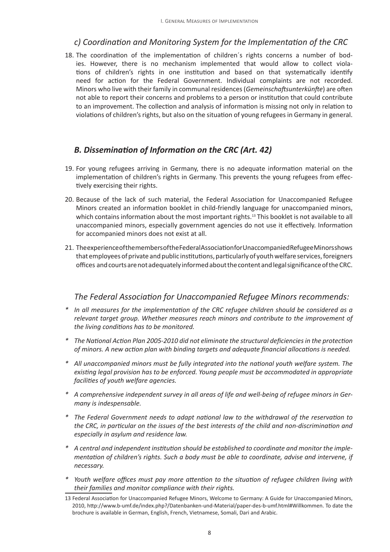#### *c) Coordination and Monitoring System for the Implementation of the CRC*

18. The coordination of the implementation of children´s rights concerns a number of bodies. However, there is no mechanism implemented that would allow to collect violations of children's rights in one institution and based on that systematically identify need for action for the Federal Government. Individual complaints are not recorded. Minors who live with their family in communal residences (*Gemeinschaftsunterkünfte*) are often not able to report their concerns and problems to a person or institution that could contribute to an improvement. The collection and analysis of information is missing not only in relation to violations of children's rights, but also on the situation of young refugees in Germany in general.

## *B. Dissemination of Information on the CRC (Art. 42)*

- 19. For young refugees arriving in Germany, there is no adequate information material on the implementation of children's rights in Germany. This prevents the young refugees from effectively exercising their rights.
- 20. Because of the lack of such material, the Federal Association for Unaccompanied Refugee Minors created an information booklet in child-friendly language for unaccompanied minors, which contains information about the most important rights.<sup>13</sup> This booklet is not available to all unaccompanied minors, especially government agencies do not use it effectively. Information for accompanied minors does not exist at all.
- 21. The experience of the members of the Federal Association for Unaccompanied Refugee Minors shows that employees of private and public institutions, particularly of youth welfare services, foreigners offices and courts are not adequately informed about the content and legal significance of the CRC.

- *\* In all measures for the implementation of the CRC refugee children should be considered as a relevant target group. Whether measures reach minors and contribute to the improvement of the living conditions has to be monitored.*
- *\* The National Action Plan 2005-2010 did not eliminate the structural deficiencies in the protection of minors. A new action plan with binding targets and adequate financial allocations is needed.*
- *\* All unaccompanied minors must be fully integrated into the national youth welfare system. The existing legal provision has to be enforced. Young people must be accommodated in appropriate facilities of youth welfare agencies.*
- *\* A comprehensive independent survey in all areas of life and well-being of refugee minors in Germany is indespensable.*
- *\* The Federal Government needs to adapt national law to the withdrawal of the reservation to the CRC, in particular on the issues of the best interests of the child and non-discrimination and especially in asylum and residence law.*
- *\* A central and independent institution should be established to coordinate and monitor the implementation of children's rights. Such a body must be able to coordinate, advise and intervene, if necessary.*
- *\* Youth welfare offices must pay more attention to the situation of refugee children living with their families and monitor compliance with their rights.*

<sup>13</sup> Federal Association for Unaccompanied Refugee Minors, Welcome to Germany: A Guide for Unaccompanied Minors, 2010, http://www.b-umf.de/index.php?/Datenbanken-und-Material/paper-des-b-umf.html#Willkommen. To date the brochure is available in German, English, French, Vietnamese, Somali, Dari and Arabic.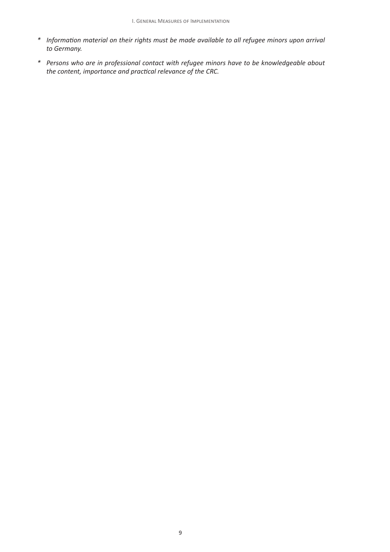- *\* Information material on their rights must be made available to all refugee minors upon arrival to Germany.*
- *\* Persons who are in professional contact with refugee minors have to be knowledgeable about the content, importance and practical relevance of the CRC.*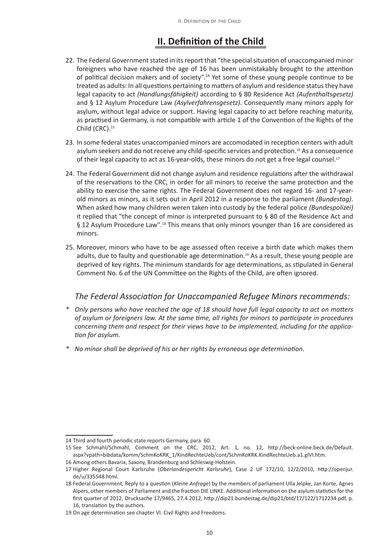# **II. Definition of the Child**

- 22. The Federal Government stated in its report that "the special situation of unaccompanied minor foreigners who have reached the age of 16 has been unmistakably brought to the attention of political decision makers and of society".<sup>14</sup> Yet some of these young people continue to be treated as adults: In all questions pertaining to matters of asylum and residence status they have legal capacity to act *(Handlungsfähigkeit)* according to § 80 Residence Act *(Aufenthaltsgesetz)* and § 12 Asylum Procedure Law *(Asylverfahrensgesetz)*. Consequently many minors apply for asylum, without legal advice or support. Having legal capacity to act before reaching maturity, as practised in Germany, is not compatible with article 1 of the Convention of the Rights of the Child (CRC).<sup>15</sup>
- 23. In some federal states unaccompanied minors are accomodated in reception centers with adult asylum seekers and do not receive any child-specific services and protection.16 As a consequence of their legal capacity to act as 16-year-olds, these minors do not get a free legal counsel.<sup>17</sup>
- 24. The Federal Government did not change asylum and residence regulations after the withdrawal of the reservations to the CRC, in order for all minors to receive the same protection and the ability to exercise the same rights. The Federal Government does not regard 16- and 17-yearold minors as minors, as it sets out in April 2012 in a response to the parliament *(Bundestag)*. When asked how many children weren taken into custody by the federal police *(Bundespolizei)* it replied that "the concept of minor is interpreted pursuant to § 80 of the Residence Act and § 12 Asylum Procedure Law".18 This means that only minors younger than 16 are considered as minors.
- 25. Moreover, minors who have to be age assessed often receive a birth date which makes them adults, due to faulty and questionable age determination.19 As a result, these young people are deprived of key rights. The minimum standards for age determinations, as stipulated in General Comment No. 6 of the UN Committee on the Rights of the Child, are often ignored.

- *\* Only persons who have reached the age of 18 should have full legal capacity to act on matters of asylum or foreigners law. At the same time, all rights for minors to participate in procedures concerning them and respect for their views have to be implemented, including for the application for asylum.*
- *\* No minor shall be deprived of his or her rights by erroneous age determination.*

<sup>14</sup> Third and fourth periodic state reports Germany, para. 60.

<sup>15</sup> See Schmahl/Schmahl, Comment on the CRC, 2012, Art. 1, no. 12, http://beck-online.beck.de/Default. aspx?vpath=bibdata/komm/SchmKoKRK\_1/KindRechteUeb/cont/SchmKoKRK.KindRechteUeb.a1.glVI.htm.

<sup>16</sup> Among others Bavaria, Saxony, Brandenburg and Schleswig-Holstein.

<sup>17</sup> Higher Regional Court Karlsruhe (*Oberlandesgericht Karlsruhe*), Case 2 UF 172/10, 12/2/2010, http://openjur. de/u/335548.html.

<sup>18</sup> Federal Government, Reply to a question (*Kleine Anfrage*) by the members of parliament Ulla Jelpke, Jan Korte, Agnes Alpers, other members of Parliament and the fraction DIE LINKE. Additional information on the asylum statistics for the first quarter of 2012, Drucksache 17/9465, 27.4.2012, http://dip21.bundestag.de/dip21/btd/17/122/1712234.pdf, p. 16, translation by the authors.

<sup>19</sup> On age determination see chapter VI. Civil Rights and Freedoms.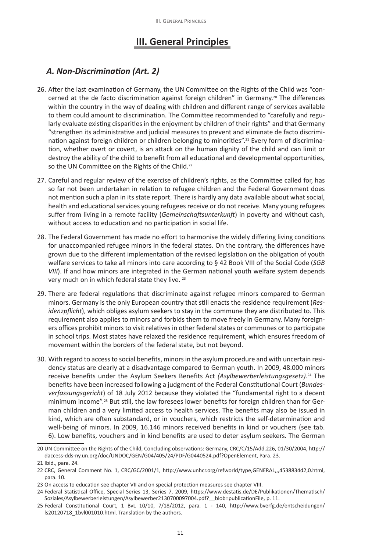## **III. General Principles**

#### *A. Non-Discrimination (Art. 2)*

- 26. After the last examination of Germany, the UN Committee on the Rights of the Child was "concerned at the de facto discrimination against foreign children" in Germany.<sup>20</sup> The differences within the country in the way of dealing with children and different range of services available to them could amount to discrimination. The Committee recommended to "carefully and regularly evaluate existing disparities in the enjoyment by children of their rights" and that Germany "strengthen its administrative and judicial measures to prevent and eliminate de facto discrimination against foreign children or children belonging to minorities".<sup>21</sup> Every form of discrimination, whether overt or covert, is an attack on the human dignity of the child and can limit or destroy the ability of the child to benefit from all educational and developmental opportunities, so the UN Committee on the Rights of the Child.<sup>22</sup>
- 27. Careful and regular review of the exercise of children's rights, as the Committee called for, has so far not been undertaken in relation to refugee children and the Federal Government does not mention such a plan in its state report. There is hardly any data available about what social, health and educational services young refugees receive or do not receive. Many young refugees suffer from living in a remote facility (*Gemeinschaftsunterkunft*) in poverty and without cash, without access to education and no participation in social life.
- 28. The Federal Government has made no effort to harmonise the widely differing living conditions for unaccompanied refugee minors in the federal states. On the contrary, the differences have grown due to the different implementation of the revised legislation on the obligation of youth welfare services to take all minors into care according to § 42 Book VIII of the Social Code (*SGB VIII*). If and how minors are integrated in the German national youth welfare system depends very much on in which federal state they live. <sup>23</sup>
- 29. There are federal regulations that discriminate against refugee minors compared to German minors. Germany is the only European country that still enacts the residence requirement (*Residenzpflicht*), which obliges asylum seekers to stay in the commune they are distributed to. This requirement also applies to minors and forbids them to move freely in Germany. Many foreigners offices prohibit minors to visit relatives in other federal states or communes or to participate in school trips. Most states have relaxed the residence requirement, which ensures freedom of movement within the borders of the federal state, but not beyond.
- 30. With regard to access to social benefits, minors in the asylum procedure and with uncertain residency status are clearly at a disadvantage compared to German youth. In 2009, 48.000 minors receive benefits under the Asylum Seekers Benefits Act *(Asylbewerberleistungsgesetz)*. 24 The benefits have been increased following a judgment of the Federal Constitutional Court (*Bundesverfassungsgericht*) of 18 July 2012 because they violated the "fundamental right to a decent minimum income".<sup>25</sup> But still, the law foresees lower benefits for foreign children than for German children and a very limited access to health services. The benefits may also be issued in kind, which are often substandard, or in vouchers, which restricts the self-determination and well-being of minors. In 2009, 16.146 minors received benefits in kind or vouchers (see tab. 6). Low benefits, vouchers and in kind benefits are used to deter asylum seekers. The German

<sup>20</sup> UN Committee on the Rights of the Child, Concluding observations: Germany, CRC/C/15/Add.226, 01/30/2004, http:// daccess-dds-ny.un.org/doc/UNDOC/GEN/G04/405/24/PDF/G0440524.pdf?OpenElement, Para. 23.

<sup>21</sup> Ibid., para. 24.

<sup>22</sup> CRC, General Comment No. 1, CRC/GC/2001/1, http://www.unhcr.org/refworld/type,GENERAL,,,4538834d2,0.html, para. 10.

<sup>23</sup> On access to education see chapter VII and on special protection measures see chapter VIII.

<sup>24</sup> Federal Statistical Office, Special Series 13, Series 7, 2009, https://www.destatis.de/DE/Publikationen/Thematisch/ Soziales/Asylbewerberleistungen/Asylbewerber2130700097004.pdf? blob=publicationFile, p. 11.

<sup>25</sup> Federal Constitutional Court, 1 BvL 10/10, 7/18/2012, para. 1 - 140, http://www.bverfg.de/entscheidungen/ ls20120718\_1bvl001010.html. Translation by the authors.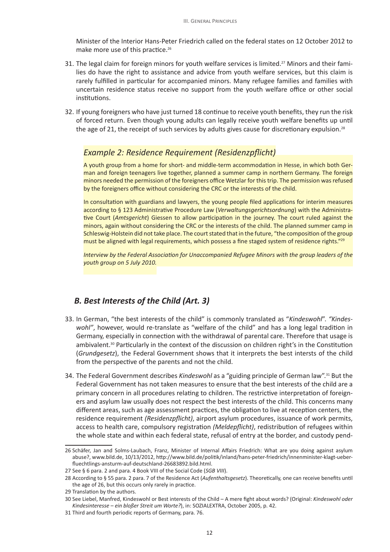Minister of the Interior Hans-Peter Friedrich called on the federal states on 12 October 2012 to make more use of this practice.<sup>26</sup>

- 31. The legal claim for foreign minors for youth welfare services is limited.<sup>27</sup> Minors and their families do have the right to assistance and advice from youth welfare services, but this claim is rarely fulfilled in particular for accompanied minors. Many refugee families and families with uncertain residence status receive no support from the youth welfare office or other social institutions.
- 32. If young foreigners who have just turned 18 continue to receive youth benefits, they run the risk of forced return. Even though young adults can legally receive youth welfare benefits up until the age of 21, the receipt of such services by adults gives cause for discretionary expulsion.<sup>28</sup>

#### *Example 2: Residence Requirement (Residenzpflicht)*

A youth group from a home for short- and middle-term accommodation in Hesse, in which both German and foreign teenagers live together, planned a summer camp in northern Germany. The foreign minors needed the permission of the foreigners office Wetzlar for this trip. The permission was refused by the foreigners office without considering the CRC or the interests of the child.

In consultation with guardians and lawyers, the young people filed applications for interim measures according to § 123 Administrative Procedure Law (*Verwaltungsgerichtsordnung*) with the Administrative Court (*Amtsgericht*) Giessen to allow participation in the journey. The court ruled against the minors, again without considering the CRC or the interests of the child. The planned summer camp in Schleswig-Holstein did not take place. The court stated that in the future, "the composition of the group must be aligned with legal requirements, which possess a fine staged system of residence rights."29

*Interview by the Federal Association for Unaccompanied Refugee Minors with the group leaders of the youth group on 5 July 2010.*

#### *B. Best Interests of the Child (Art. 3)*

- 33. In German, "the best interests of the child" is commonly translated as "*Kindeswohl*". *"Kindeswohl"*, however, would re-translate as "welfare of the child" and has a long legal tradition in Germany, especially in connection with the withdrawal of parental care. Therefore that usage is ambivalent.30 Particularly in the context of the discussion on children right's in the Constitution (*Grundgesetz*), the Federal Government shows that it interprets the best intersts of the child from the perspective of the parents and not the child.
- 34. The Federal Government describes *Kindeswohl* as a "guiding principle of German law".31 But the Federal Government has not taken measures to ensure that the best interests of the child are a primary concern in all procedures relating to children. The restrictive interpretation of foreigners and asylum law usually does not respect the best interests of the child. This concerns many different areas, such as age assessment practices, the obligation to live at reception centers, the residence requirement *(Residenzpflicht)*, airport asylum procedures, issuance of work permits, access to health care, compulsory registration *(Meldepflicht)*, redistribution of refugees within the whole state and within each federal state, refusal of entry at the border, and custody pend-

<sup>26</sup> Schäfer, Jan and Solms-Laubach, Franz, Minister of Internal Affairs Friedrich: What are you doing against asylum abuse?, www.bild.de, 10/13/2012, http://www.bild.de/politik/inland/hans-peter-friedrich/innenminister-klagt-ueberfluechtlings-ansturm-auf-deutschland-26683892.bild.html.

<sup>27</sup> See § 6 para. 2 and para. 4 Book VIII of the Social Code (*SGB VIII*).

<sup>28</sup> According to § 55 para. 2 para. 7 of the Residence Act (*Aufenthaltsgesetz*). Theoretically, one can receive benefits until the age of 26, but this occurs only rarely in practice.

<sup>29</sup> Translation by the authors.

<sup>30</sup> See Liebel, Manfred, Kindeswohl or Best interests of the Child – A mere fight about words? (Original: *Kindeswohl oder Kindesinteresse – ein bloßer Streit um Worte?*), in: SOZIALEXTRA, October 2005, p. 42.

<sup>31</sup> Third and fourth periodic reports of Germany, para. 76.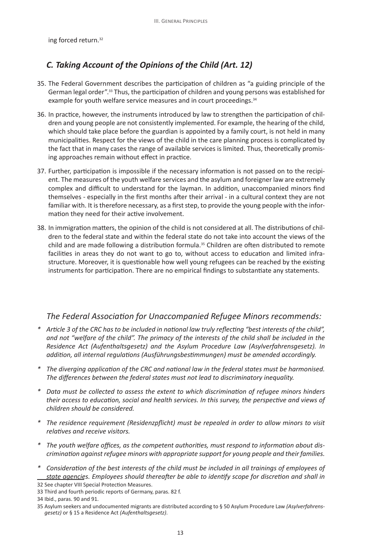ing forced return.<sup>32</sup>

# *C. Taking Account of the Opinions of the Child (Art. 12)*

- 35. The Federal Government describes the participation of children as "a guiding principle of the German legal order".33 Thus, the participation of children and young persons was established for example for youth welfare service measures and in court proceedings.<sup>34</sup>
- 36. In practice, however, the instruments introduced by law to strengthen the participation of children and young people are not consistently implemented. For example, the hearing of the child, which should take place before the guardian is appointed by a family court, is not held in many municipalities. Respect for the views of the child in the care planning process is complicated by the fact that in many cases the range of available services is limited. Thus, theoretically promising approaches remain without effect in practice.
- 37. Further, participation is impossible if the necessary information is not passed on to the recipient. The measures of the youth welfare services and the asylum and foreigner law are extremely complex and difficult to understand for the layman. In addition, unaccompanied minors find themselves - especially in the first months after their arrival - in a cultural context they are not familiar with. It is therefore necessary, as a first step, to provide the young people with the information they need for their active involvement.
- 38. In immigration matters, the opinion of the child is not considered at all. The distributions of children to the federal state and within the federal state do not take into account the views of the child and are made following a distribution formula.<sup>35</sup> Children are often distributed to remote facilities in areas they do not want to go to, without access to education and limited infrastructure. Moreover, it is questionable how well young refugees can be reached by the existing instruments for participation. There are no empirical findings to substantiate any statements.

- *\* Article 3 of the CRC has to be included in national law truly reflecting "best interests of the child", and not "welfare of the child". The primacy of the interests of the child shall be included in the Residence Act (Aufenthaltsgesetz) and the Asylum Procedure Law (Asylverfahrensgesetz). In addition, all internal regulations (Ausführungsbestimmungen) must be amended accordingly.*
- *\* The diverging application of the CRC and national law in the federal states must be harmonised. The differences between the federal states must not lead to discriminatory inequality.*
- *\* Data must be collected to assess the extent to which discrimination of refugee minors hinders their access to education, social and health services. In this survey, the perspective and views of children should be considered.*
- *\* The residence requirement (Residenzpflicht) must be repealed in order to allow minors to visit relatives and receive visitors.*
- *\* The youth welfare offices, as the competent authorities, must respond to information about discrimination against refugee minors with appropriate support for young people and their families.*
- *\* Consideration of the best interests of the child must be included in all trainings of employees of state agencies. Employees should thereafter be able to identify scope for discretion and shall in*

<sup>32</sup> See chapter VIII Special Protection Measures. 33 Third and fourth periodic reports of Germany, paras. 82 f.

<sup>34</sup> Ibid., paras. 90 and 91.

<sup>35</sup> Asylum seekers and undocumented migrants are distributed according to § 50 Asylum Procedure Law *(Asylverfahrens-*

*gesetz)* or § 15 a Residence Act *(Aufenthaltsgesetz)*.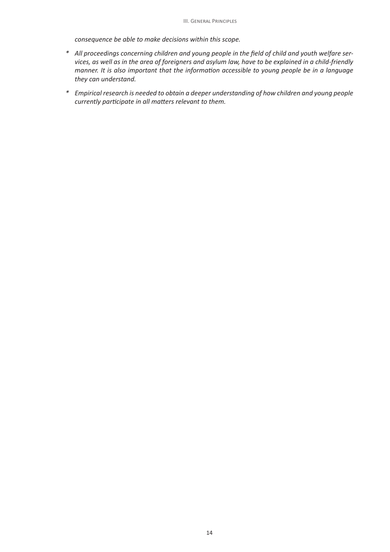*consequence be able to make decisions within this scope.* 

- *\* All proceedings concerning children and young people in the field of child and youth welfare services, as well as in the area of foreigners and asylum law, have to be explained in a child-friendly manner. It is also important that the information accessible to young people be in a language they can understand.*
- *\* Empirical research is needed to obtain a deeper understanding of how children and young people currently participate in all matters relevant to them.*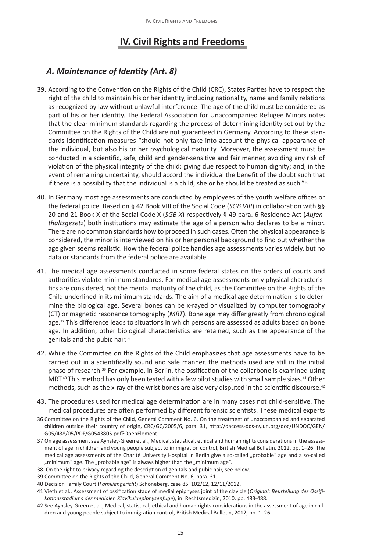# **IV. Civil Rights and Freedoms**

## *A. Maintenance of Identity (Art. 8)*

- 39. According to the Convention on the Rights of the Child (CRC), States Parties have to respect the right of the child to maintain his or her identity, including nationality, name and family relations as recognized by law without unlawful interference. The age of the child must be considered as part of his or her identity. The Federal Association for Unaccompanied Refugee Minors notes that the clear minimum standards regarding the process of determining identity set out by the Committee on the Rights of the Child are not guaranteed in Germany. According to these standards identification measures "should not only take into account the physical appearance of the individual, but also his or her psychological maturity. Moreover, the assessment must be conducted in a scientific, safe, child and gender-sensitive and fair manner, avoiding any risk of violation of the physical integrity of the child; giving due respect to human dignity; and, in the event of remaining uncertainty, should accord the individual the benefit of the doubt such that if there is a possibility that the individual is a child, she or he should be treated as such." $36$
- 40. In Germany most age assessments are conducted by employees of the youth welfare offices or the federal police. Based on § 42 Book VIII of the Social Code (*SGB VIII*) in collaboration with §§ 20 and 21 Book X of the Social Code X (*SGB X*) respectively § 49 para. 6 Residence Act (*Aufenthaltsgesetz*) both institutions may estimate the age of a person who declares to be a minor. There are no common standards how to proceed in such cases. Often the physical appearance is considered, the minor is interviewed on his or her personal background to find out whether the age given seems realistic. How the federal police handles age assessments varies widely, but no data or standards from the federal police are available.
- 41. The medical age assessments conducted in some federal states on the orders of courts and authorities violate minimum standards. For medical age assessments only physical characteristics are considered, not the mental maturity of the child, as the Committee on the Rights of the Child underlined in its minimum standards. The aim of a medical age determination is to determine the biological age. Several bones can be x-rayed or visualized by computer tomography (CT) or magnetic resonance tomography (*MRT*). Bone age may differ greatly from chronological age.<sup>37</sup> This difference leads to situations in which persons are assessed as adults based on bone age. In addition, other biological characteristics are retained, such as the appearance of the genitals and the pubic hair.<sup>38</sup>
- 42. While the Committee on the Rights of the Child emphasizes that age assessments have to be carried out in a scientifically sound and safe manner, the methods used are still in the initial phase of research.39 For example, in Berlin, the ossification of the collarbone is examined using MRT.40 This method has only been tested with a few pilot studies with small sample sizes.41 Other methods, such as the x-ray of the wrist bones are also very disputed in the scientific discourse.<sup>42</sup>
- 43. The procedures used for medical age determination are in many cases not child-sensitive. The medical procedures are often performed by different forensic scientists. These medical experts
- 36 Committee on the Rights of the Child, General Comment No. 6, On the treatment of unaccompanied and separated children outside their country of origin, CRC/GC/2005/6, para. 31, http://daccess-dds-ny.un.org/doc/UNDOC/GEN/ G05/438/05/PDF/G0543805.pdf?OpenElement.
- 37 On age assessment see Aynsley-Green et al., Medical, statistical, ethical and human rights considerations in the assessment of age in children and young people subject to immigration control, British Medical Bulletin, 2012, pp. 1–26. The medical age assessments of the Charité University Hospital in Berlin give a so-called "probable" age and a so-called "minimum" age. The "probable age" is always higher than the "minimum age".
- 38 On the right to privacy regarding the description of genitals and pubic hair, see below.
- 39 Committee on the Rights of the Child, General Comment No. 6, para. 31.
- 40 Decision Family Court (*Familiengericht*) Schöneberg, case 85F102/12, 12/11/2012.
- 41 Vieth et al., Assessment of ossification stade of medial epiphyses joint of the clavicle (*Original: Beurteilung des Ossifikationsstadiums der medialen Klavikulaepiphysenfuge*), in: Rechtsmedizin, 2010, pp. 483-488.
- 42 See Aynsley-Green et al., Medical, statistical, ethical and human rights considerations in the assessment of age in children and young people subject to immigration control, British Medical Bulletin, 2012, pp. 1–26.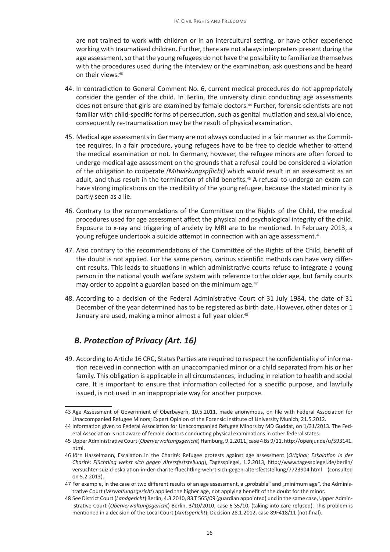are not trained to work with children or in an intercultural setting, or have other experience working with traumatised children. Further, there are not always interpreters present during the age assessment, so that the young refugees do not have the possibility to familiarize themselves with the procedures used during the interview or the examination, ask questions and be heard on their views.<sup>43</sup>

- 44. In contradiction to General Comment No. 6, current medical procedures do not appropriately consider the gender of the child. In Berlin, the university clinic conducting age assessments does not ensure that girls are examined by female doctors.<sup>44</sup> Further, forensic scientists are not familiar with child-specific forms of persecution, such as genital mutilation and sexual violence, consequently re-traumatisation may be the result of physical examination.
- 45. Medical age assessments in Germany are not always conducted in a fair manner as the Committee requires. In a fair procedure, young refugees have to be free to decide whether to attend the medical examination or not. In Germany, however, the refugee minors are often forced to undergo medical age assessment on the grounds that a refusal could be considered a violation of the obligation to cooperate *(Mitwirkungspflicht)* which would result in an assessment as an adult, and thus result in the termination of child benefits.<sup>45</sup> A refusal to undergo an exam can have strong implications on the credibility of the young refugee, because the stated minority is partly seen as a lie.
- 46. Contrary to the recommendations of the Committee on the Rights of the Child, the medical procedures used for age assessment affect the physical and psychological integrity of the child. Exposure to x-ray and triggering of anxiety by MRI are to be mentioned. In February 2013, a young refugee undertook a suicide attempt in connection with an age assessment.<sup>46</sup>
- 47. Also contrary to the recommendations of the Committee of the Rights of the Child, benefit of the doubt is not applied. For the same person, various scientific methods can have very different results. This leads to situations in which administrative courts refuse to integrate a young person in the national youth welfare system with reference to the older age, but family courts may order to appoint a guardian based on the minimum age.<sup>47</sup>
- 48. According to a decision of the Federal Administrative Court of 31 July 1984, the date of 31 December of the year determined has to be registered as birth date. However, other dates or 1 January are used, making a minor almost a full year older.<sup>48</sup>

## *B. Protection of Privacy (Art. 16)*

49. According to Article 16 CRC, States Parties are required to respect the confidentiality of information received in connection with an unaccompanied minor or a child separated from his or her family. This obligation is applicable in all circumstances, including in relation to health and social care. It is important to ensure that information collected for a specific purpose, and lawfully issued, is not used in an inappropriate way for another purpose.

<sup>43</sup> Age Assessment of Government of Oberbayern, 10.5.2011, made anonymous, on file with Federal Association for Unaccompanied Refugee Minors; Expert Opinion of the Forensic Institute of University Munich, 21.5.2012.

<sup>44</sup> Information given to Federal Association for Unaccompanied Refugee Minors by MD Guddat, on 1/31/2013. The Federal Association is not aware of female doctors conducting physical examinations in other federal states.

<sup>45</sup> Upper Administrative Court (*Oberverwaltungsgericht*) Hamburg, 9.2.2011, case 4 Bs 9/11, http://openjur.de/u/593141. html.

<sup>46</sup> Jörn Hasselmann, Escalation in the Charité: Refugee protests against age assessment (*Original: Eskalation in der Charité: Flüchtling wehrt sich gegen Altersfeststellung*), Tagesspiegel, 1.2.2013, http://www.tagesspiegel.de/berlin/ versuchter-suizid-eskalation-in-der-charite-fluechtling-wehrt-sich-gegen-altersfeststellung/7723904.html (consulted on 5.2.2013).

<sup>47</sup> For example, in the case of two different results of an age assessment, a "probable" and "minimum age", the Administrative Court (*Verwaltungsgericht*) applied the higher age, not applying benefit of the doubt for the minor.

<sup>48</sup> See District Court (*Landgericht*) Berlin, 4.3.2010, 83 T 565/09 (guardian appointed) und in the same case, Upper Administrative Court (*Oberverwaltungsgericht*) Berlin, 3/10/2010, case 6 S5/10, (taking into care refused). This problem is mentioned in a decision of the Local Court (*Amtsgericht*), Decision 28.1.2012, case 89F418/11 (not final).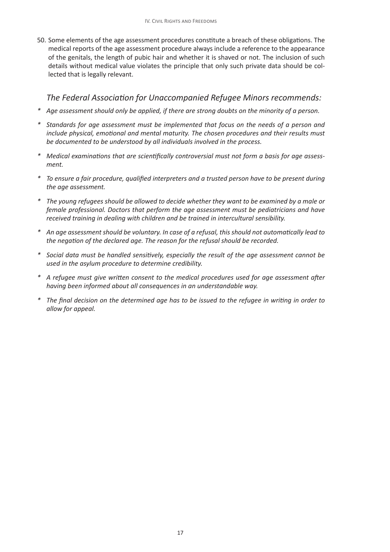50. Some elements of the age assessment procedures constitute a breach of these obligations. The medical reports of the age assessment procedure always include a reference to the appearance of the genitals, the length of pubic hair and whether it is shaved or not. The inclusion of such details without medical value violates the principle that only such private data should be collected that is legally relevant.

- *\* Age assessment should only be applied, if there are strong doubts on the minority of a person.*
- *\* Standards for age assessment must be implemented that focus on the needs of a person and include physical, emotional and mental maturity. The chosen procedures and their results must be documented to be understood by all individuals involved in the process.*
- *\* Medical examinations that are scientifically controversial must not form a basis for age assessment.*
- *\* To ensure a fair procedure, qualified interpreters and a trusted person have to be present during the age assessment.*
- *\* The young refugees should be allowed to decide whether they want to be examined by a male or female professional. Doctors that perform the age assessment must be pediatricians and have received training in dealing with children and be trained in intercultural sensibility.*
- *\* An age assessment should be voluntary. In case of a refusal, this should not automatically lead to the negation of the declared age. The reason for the refusal should be recorded.*
- *\* Social data must be handled sensitively, especially the result of the age assessment cannot be used in the asylum procedure to determine credibility.*
- *\* A refugee must give written consent to the medical procedures used for age assessment after having been informed about all consequences in an understandable way.*
- *\* The final decision on the determined age has to be issued to the refugee in writing in order to allow for appeal.*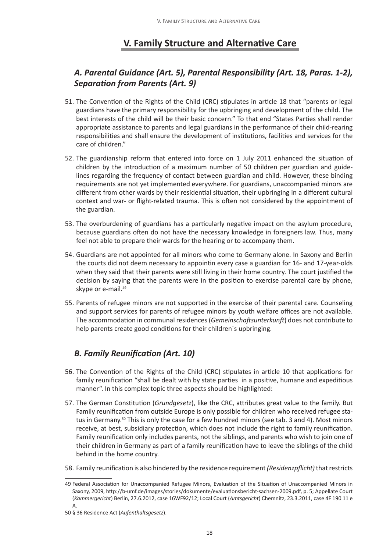# **V. Family Structure and Alternative Care**

## *A. Parental Guidance (Art. 5), Parental Responsibility (Art. 18, Paras. 1-2), Separation from Parents (Art. 9)*

- 51. The Convention of the Rights of the Child (CRC) stipulates in article 18 that "parents or legal guardians have the primary responsibility for the upbringing and development of the child. The best interests of the child will be their basic concern." To that end "States Parties shall render appropriate assistance to parents and legal guardians in the performance of their child-rearing responsibilities and shall ensure the development of institutions, facilities and services for the care of children."
- 52. The guardianship reform that entered into force on 1 July 2011 enhanced the situation of children by the introduction of a maximum number of 50 children per guardian and guidelines regarding the frequency of contact between guardian and child. However, these binding requirements are not yet implemented everywhere. For guardians, unaccompanied minors are different from other wards by their residential situation, their upbringing in a different cultural context and war- or flight-related trauma. This is often not considered by the appointment of the guardian.
- 53. The overburdening of guardians has a particularly negative impact on the asylum procedure, because guardians often do not have the necessary knowledge in foreigners law. Thus, many feel not able to prepare their wards for the hearing or to accompany them.
- 54. Guardians are not appointed for all minors who come to Germany alone. In Saxony and Berlin the courts did not deem necessary to appointin every case a guardian for 16- and 17-year-olds when they said that their parents were still living in their home country. The court justified the decision by saying that the parents were in the position to exercise parental care by phone, skype or e-mail.<sup>49</sup>
- 55. Parents of refugee minors are not supported in the exercise of their parental care. Counseling and support services for parents of refugee minors by youth welfare offices are not available. The accommodation in communal residences (*Gemeinschaftsunterkunft*) does not contribute to help parents create good conditions for their children´s upbringing.

# *B. Family Reunification (Art. 10)*

- 56. The Convention of the Rights of the Child (CRC) stipulates in article 10 that applications for family reunification "shall be dealt with by state parties in a positive, humane and expeditious manner". In this complex topic three aspects should be highlighted:
- 57. The German Constitution (*Grundgesetz*), like the CRC, attributes great value to the family. But Family reunification from outside Europe is only possible for children who received refugee status in Germany.50 This is only the case for a few hundred minors (see tab. 3 and 4). Most minors receive, at best, subsidiary protection, which does not include the right to family reunification. Family reunification only includes parents, not the siblings, and parents who wish to join one of their children in Germany as part of a family reunification have to leave the siblings of the child behind in the home country.
- 58. Family reunification is also hindered by the residence requirement *(Residenzpflicht)* that restricts

<sup>49</sup> Federal Association for Unaccompanied Refugee Minors, Evaluation of the Situation of Unaccompanied Minors in Saxony, 2009, http://b-umf.de/images/stories/dokumente/evaluationsbericht-sachsen-2009.pdf, p. 5; Appellate Court (*Kammergericht*) Berlin, 27.6.2012, case 16WF92/12; Local Court (*Amtsgericht*) Chemnitz, 23.3.2011, case 4F 190 11 e A.

<sup>50</sup> § 36 Residence Act (*Aufenthaltsgesetz*).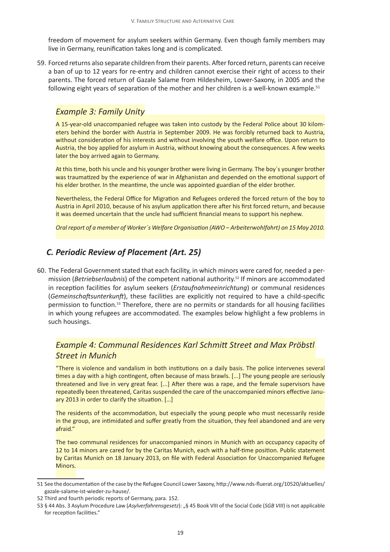freedom of movement for asylum seekers within Germany. Even though family members may live in Germany, reunification takes long and is complicated.

59. Forced returns also separate children from their parents. After forced return, parents can receive a ban of up to 12 years for re-entry and children cannot exercise their right of access to their parents. The forced return of Gazale Salame from Hildesheim, Lower-Saxony, in 2005 and the following eight years of separation of the mother and her children is a well-known example.<sup>51</sup>

#### *Example 3: Family Unity*

A 15-year-old unaccompanied refugee was taken into custody by the Federal Police about 30 kilometers behind the border with Austria in September 2009. He was forcibly returned back to Austria, without consideration of his interests and without involving the youth welfare office. Upon return to Austria, the boy applied for asylum in Austria, without knowing about the consequences. A few weeks later the boy arrived again to Germany.

At this time, both his uncle and his younger brother were living in Germany. The boy´s younger brother was traumatized by the experience of war in Afghanistan and depended on the emotional support of his elder brother. In the meantime, the uncle was appointed guardian of the elder brother.

Nevertheless, the Federal Office for Migration and Refugees ordered the forced return of the boy to Austria in April 2010, because of his asylum application there after his first forced return, and because it was deemed uncertain that the uncle had sufficient financial means to support his nephew.

*Oral report of a member of Worker´s Welfare Organisation (AWO – Arbeiterwohlfahrt) on 15 May 2010.*

## *C. Periodic Review of Placement (Art. 25)*

60. The Federal Government stated that each facility, in which minors were cared for, needed a permission (*Betriebserlaubnis*) of the competent national authority.52 If minors are accommodated in reception facilities for asylum seekers (*Erstaufnahmeeinrichtung*) or communal residences (*Gemeinschaftsunterkunft*), these facilities are explicitly not required to have a child-specific permission to function.53 Therefore, there are no permits or standards for all housing facilities in which young refugees are accommodated. The examples below highlight a few problems in such housings.

#### *Example 4: Communal Residences Karl Schmitt Street and Max Pröbstl Street in Munich*

"There is violence and vandalism in both institutions on a daily basis. The police intervenes several times a day with a high contingent, often because of mass brawls. [...] The young people are seriously threatened and live in very great fear. [...] After there was a rape, and the female supervisors have repeatedly been threatened, Caritas suspended the care of the unaccompanied minors effective January 2013 in order to clarify the situation. […]

The residents of the accommodation, but especially the young people who must necessarily reside in the group, are intimidated and suffer greatly from the situation, they feel abandoned and are very afraid."

The two communal residences for unaccompanied minors in Munich with an occupancy capacity of 12 to 14 minors are cared for by the Caritas Munich, each with a half-time position. Public statement by Caritas Munich on 18 January 2013, on file with Federal Association for Unaccompanied Refugee Minors.

<sup>51</sup> See the documentation of the case by the Refugee Council Lower Saxony, http://www.nds-fluerat.org/10520/aktuelles/ gazale-salame-ist-wieder-zu-hause/.

<sup>52</sup> Third and fourth periodic reports of Germany, para. 152.

<sup>53</sup> § 44 Abs. 3 Asylum Procedure Law (*Asylverfahrensgesetz*): "§ 45 Book VIII of the Social Code (*SGB VIII*) is not applicable for reception facilities."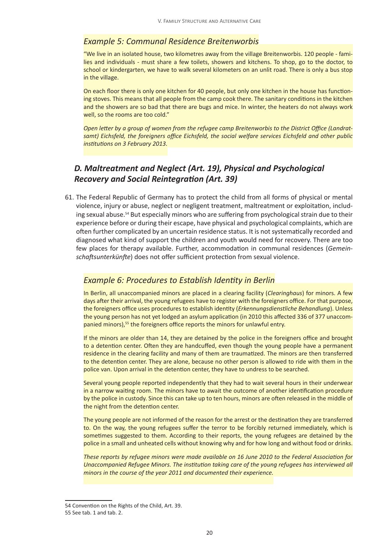#### *Example 5: Communal Residence Breitenworbis*

"We live in an isolated house, two kilometres away from the village Breitenworbis. 120 people - families and individuals - must share a few toilets, showers and kitchens. To shop, go to the doctor, to school or kindergarten, we have to walk several kilometers on an unlit road. There is only a bus stop in the village.

On each floor there is only one kitchen for 40 people, but only one kitchen in the house has functioning stoves. This means that all people from the camp cook there. The sanitary conditions in the kitchen and the showers are so bad that there are bugs and mice. In winter, the heaters do not always work well, so the rooms are too cold."

*Open letter by a group of women from the refugee camp Breitenworbis to the District Office (Landratsamt) Eichsfeld, the foreigners office Eichsfeld, the social welfare services Eichsfeld and other public institutions on 3 February 2013.*

#### *D. Maltreatment and Neglect (Art. 19), Physical and Psychological Recovery and Social Reintegration (Art. 39)*

61. The Federal Republic of Germany has to protect the child from all forms of physical or mental violence, injury or abuse, neglect or negligent treatment, maltreatment or exploitation, including sexual abuse.54 But especially minors who are suffering from psychological strain due to their experience before or during their escape, have physical and psychological complaints, which are often further complicated by an uncertain residence status. It is not systematically recorded and diagnosed what kind of support the children and youth would need for recovery. There are too few places for therapy available. Further, accommodation in communal residences (*Gemeinschaftsunterkünfte*) does not offer sufficient protection from sexual violence.

#### *Example 6: Procedures to Establish Identity in Berlin*

In Berlin, all unaccompanied minors are placed in a clearing facility (*Clearinghaus*) for minors. A few days after their arrival, the young refugees have to register with the foreigners office. For that purpose, the foreigners office uses procedures to establish identity (*Erkennungsdienstliche Behandlung*). Unless the young person has not yet lodged an asylum application (in 2010 this affected 336 of 377 unaccompanied minors),<sup>55</sup> the foreigners office reports the minors for unlawful entry.

If the minors are older than 14, they are detained by the police in the foreigners office and brought to a detention center. Often they are handcuffed, even though the young people have a permanent residence in the clearing facility and many of them are traumatized. The minors are then transferred to the detention center. They are alone, because no other person is allowed to ride with them in the police van. Upon arrival in the detention center, they have to undress to be searched.

Several young people reported independently that they had to wait several hours in their underwear in a narrow waiting room. The minors have to await the outcome of another identification procedure by the police in custody. Since this can take up to ten hours, minors are often released in the middle of the night from the detention center.

The young people are not informed of the reason for the arrest or the destination they are transferred to. On the way, the young refugees suffer the terror to be forcibly returned immediately, which is sometimes suggested to them. According to their reports, the young refugees are detained by the police in a small and unheated cells without knowing why and for how long and without food or drinks.

*These reports by refugee minors were made available on 16 June 2010 to the Federal Association for Unaccompanied Refugee Minors. The institution taking care of the young refugees has interviewed all minors in the course of the year 2011 and documented their experience.*

<sup>54</sup> Convention on the Rights of the Child, Art. 39.

<sup>55</sup> See tab. 1 and tab. 2.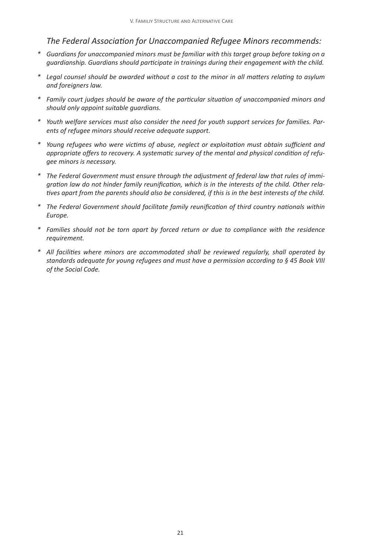- *\* Guardians for unaccompanied minors must be familiar with this target group before taking on a guardianship. Guardians should participate in trainings during their engagement with the child.*
- *\* Legal counsel should be awarded without a cost to the minor in all matters relating to asylum and foreigners law.*
- *\* Family court judges should be aware of the particular situation of unaccompanied minors and should only appoint suitable guardians.*
- *\* Youth welfare services must also consider the need for youth support services for families. Parents of refugee minors should receive adequate support.*
- *\* Young refugees who were victims of abuse, neglect or exploitation must obtain sufficient and appropriate offers to recovery. A systematic survey of the mental and physical condition of refugee minors is necessary.*
- *\* The Federal Government must ensure through the adjustment of federal law that rules of immigration law do not hinder family reunification, which is in the interests of the child. Other relatives apart from the parents should also be considered, if this is in the best interests of the child.*
- *\* The Federal Government should facilitate family reunification of third country nationals within Europe.*
- *\* Families should not be torn apart by forced return or due to compliance with the residence requirement.*
- *\* All facilities where minors are accommodated shall be reviewed regularly, shall operated by standards adequate for young refugees and must have a permission according to § 45 Book VIII of the Social Code.*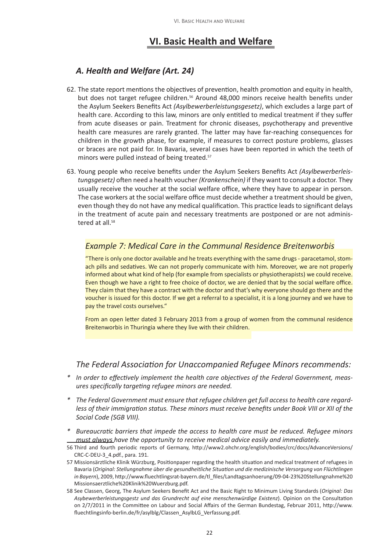## **VI. Basic Health and Welfare**

## *A. Health and Welfare (Art. 24)*

- 62. The state report mentions the objectives of prevention, health promotion and equity in health, but does not target refugee children.<sup>56</sup> Around 48,000 minors receive health benefits under the Asylum Seekers Benefits Act *(Asylbewerberleistungsgesetz)*, which excludes a large part of health care. According to this law, minors are only entitled to medical treatment if they suffer from acute diseases or pain. Treatment for chronic diseases, psychotherapy and preventive health care measures are rarely granted. The latter may have far-reaching consequences for children in the growth phase, for example, if measures to correct posture problems, glasses or braces are not paid for. In Bavaria, several cases have been reported in which the teeth of minors were pulled instead of being treated.<sup>57</sup>
- 63. Young people who receive benefits under the Asylum Seekers Benefits Act *(Asylbewerberleistungsgesetz)* often need a health voucher *(Krankenschein)* if they want to consult a doctor. They usually receive the voucher at the social welfare office, where they have to appear in person. The case workers at the social welfare office must decide whether a treatment should be given, even though they do not have any medical qualification. This practice leads to significant delays in the treatment of acute pain and necessary treatments are postponed or are not administered at all.<sup>58</sup>

#### *Example 7: Medical Care in the Communal Residence Breitenworbis*

"There is only one doctor available and he treats everything with the same drugs - paracetamol, stomach pills and sedatives. We can not properly communicate with him. Moreover, we are not properly informed about what kind of help (for example from specialists or physiotherapists) we could receive. Even though we have a right to free choice of doctor, we are denied that by the social welfare office. They claim that they have a contract with the doctor and that's why everyone should go there and the voucher is issued for this doctor. If we get a referral to a specialist, it is a long journey and we have to pay the travel costs ourselves."

From an open letter dated 3 February 2013 from a group of women from the communal residence Breitenworbis in Thuringia where they live with their children.

- *\* In order to effectively implement the health care objectives of the Federal Government, measures specifically targeting refugee minors are needed.*
- *\* The Federal Government must ensure that refugee children get full access to health care regardless of their immigration status. These minors must receive benefits under Book VIII or XII of the Social Code (SGB VIII).*
- *\* Bureaucratic barriers that impede the access to health care must be reduced. Refugee minors must always have the opportunity to receive medical advice easily and immediately.*
- 56 Third and fourth periodic reports of Germany, http://www2.ohchr.org/english/bodies/crc/docs/AdvanceVersions/ CRC-C-DEU-3\_4.pdf., para. 191.
- 57 Missionsärztliche Klinik Würzburg, Positionpaper regarding the health situation and medical treatment of refugees in Bavaria (*Original: Stellungnahme über die gesundheitliche Situation und die medizinische Versorgung von Flüchtlingen in Bayern*), 2009, http://www.fluechtlingsrat-bayern.de/tl\_files/Landtagsanhoerung/09-04-23%20Stellungnahme%20 Missionsaerztliche%20Klinik%20Wuerzburg.pdf.
- 58 See Classen, Georg, The Asylum Seekers Benefit Act and the Basic Right to Minimum Living Standards (*Original: Das Asybewerberleistungsgestz und das Grundrecht auf eine menschenwürdige Existenz*). Opinion on the Consultation on 2/7/2011 in the Committee on Labour and Social Affairs of the German Bundestag, Februar 2011, http://www. fluechtlingsinfo-berlin.de/fr/asylblg/Classen\_AsylbLG\_Verfassung.pdf.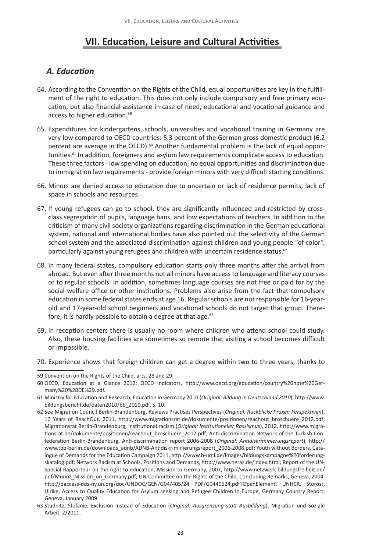## **VII. Education, Leisure and Cultural Activities**

#### *A. Education*

- 64. According to the Convention on the Rights of the Child, equal opportunities are key in the fulfillment of the right to education. This does not only include compulsory and free primary education, but also financial assistance in case of need, educational and vocational guidance and access to higher education.59
- 65. Expenditures for kindergartens, schools, universities and vocational training in Germany are very low compared to OECD countries: 5.3 percent of the German gross domestic product (6.2 percent are average in the OECD).<sup>60</sup> Another fundamental problem is the lack of equal opportunities.<sup>61</sup> In addition, foreigners and asylum law requirements complicate access to education. These three factors - low spending on education, no equal opportunities and discrimination due to immigration law requirements - provide foreign minors with very difficult starting conditions.
- 66. Minors are denied access to education due to uncertain or lack of residence permits, lack of space in schools and resources.
- 67. If young refugees can go to school, they are significantly influenced and restricted by crossclass segregation of pupils, language bans, and low expectations of teachers. In addition to the criticism of many civil society organizations regarding discrimination in the German educational system, national and international bodies have also pointed out the selectivity of the German school system and the associated discrimination against children and young people "of color", particularly against young refugees and children with uncertain residence status.<sup>62</sup>
- 68. In many federal states, compulsory education starts only three months after the arrival from abroad. But even after three months not all minors have access to language and literacy courses or to regular schools. In addition, sometimes language courses are not free or paid for by the social welfare office or other institutions. Problems also arise from the fact that compulsory education in some federal states ends at age 16. Regular schools are not responsible for 16-yearold and 17-year-old school beginners and vocational schools do not target that group. Therefore, it is hardly possible to obtain a degree at that age. $63$
- 69. In reception centers there is usually no room where children who attend school could study. Also, these housing facilities are sometimes so remote that visiting a school becomes difficult or impossible.
- 70. Experience shows that foreign children can get a degree within two to three years, thanks to

<sup>59</sup> Convention on the Rights of the Child, arts. 28 and 29.

<sup>60</sup> OECD, Education at a Glance 2012: OECD Indicators, http://www.oecd.org/education/country%20note%20Germany%20%28DE%29.pdf.

<sup>61</sup> Ministry for Education and Research, Education in Germany 2010 (*Original: Bildung in Deutschland 2010*), http://www. bildungsbericht.de/daten2010/bb\_2010.pdf, S. 10.

<sup>62</sup> See Migration Council Berlin-Brandenburg, Reviews Practises Perspectives (*Original: Rückblicke Praxen Perspektiven*), 10 Years of ReachOut, 2011, http://www.migrationsrat.de/dokumente/positionen/reachout\_broschuere\_2012.pdf; Migrationsrat Berlin-Brandenburg, Institutional racism (*Original: Institutioneller Rassismus*), 2012, http://www.migrationsrat.de/dokumente/positionen/reachout\_broschuere\_2012.pdf; Anti-discrimination Network of the Turkish Confederation Berlin-Brandenburg, Anti-discrimination report 2006-2008 (*Original: Antidiskriminierungsreport*), http:// www.tbb-berlin.de/downloads\_adnb/ADNB-Antidiskriminierungsreport\_2006-2008.pdf; Youth without Borders, Catalogue of Demands for the Education Campaign 2011, http://www.b-umf.de/images/bildungskampagne%20forderungskatalog.pdf; Network Racism at Schools, Positions and Demands, http://www.neras.de/index.html; Report of the UN-Special Rapporteur on the right to education, Mission to Germany, 2007, http://www.netzwerk-bildungsfreiheit.de/ pdf/Munoz\_Mission\_on\_Germany.pdf; UN-Committee on the Rights of the Child, Concluding Remarks, Geneva, 2004, http://daccess-dds-ny.un.org/doc/UNDOC/GEN/G04/405/24 PDF/G0440524.pdf?OpenElement; UNHCR, Storost, Ulrike, Access to Quality Education for Asylum seeking and Refugee Children in Europe, Germany Country Report, Geneva, January 2009.

<sup>63</sup> Studnitz, Stefanie, Exclusion Instead of Education (*Original: Ausgrenzung statt Ausbildung*), Migration und Soziale Arbeit, 2/2011.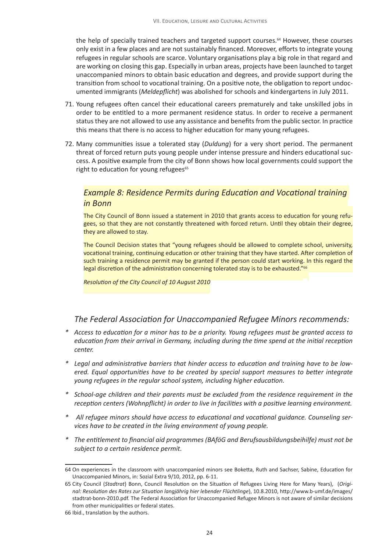the help of specially trained teachers and targeted support courses.<sup>64</sup> However, these courses only exist in a few places and are not sustainably financed. Moreover, efforts to integrate young refugees in regular schools are scarce. Voluntary organisations play a big role in that regard and are working on closing this gap. Especially in urban areas, projects have been launched to target unaccompanied minors to obtain basic education and degrees, and provide support during the transition from school to vocational training. On a positive note, the obligation to report undocumented immigrants (*Meldepflicht*) was abolished for schools and kindergartens in July 2011.

- 71. Young refugees often cancel their educational careers prematurely and take unskilled jobs in order to be entitled to a more permanent residence status. In order to receive a permanent status they are not allowed to use any assistance and benefits from the public sector. In practice this means that there is no access to higher education for many young refugees.
- 72. Many communities issue a tolerated stay (*Duldung*) for a very short period. The permanent threat of forced return puts young people under intense pressure and hinders educational success. A positive example from the city of Bonn shows how local governments could support the right to education for young refugees<sup>65</sup>

#### *Example 8: Residence Permits during Education and Vocational training in Bonn*

The City Council of Bonn issued a statement in 2010 that grants access to education for young refugees, so that they are not constantly threatened with forced return. Until they obtain their degree, they are allowed to stay.

The Council Decision states that "young refugees should be allowed to complete school, university, vocational training, continuing education or other training that they have started. After completion of such training a residence permit may be granted if the person could start working. In this regard the legal discretion of the administration concerning tolerated stay is to be exhausted."<sup>66</sup>

*Resolution of the City Council of 10 August 2010*

- *\* Access to education for a minor has to be a priority. Young refugees must be granted access to education from their arrival in Germany, including during the time spend at the initial reception center.*
- *\* Legal and administrative barriers that hinder access to education and training have to be lowered. Equal opportunities have to be created by special support measures to better integrate young refugees in the regular school system, including higher education.*
- *\* School-age children and their parents must be excluded from the residence requirement in the reception centers (Wohnpflicht) in order to live in facilities with a positive learning environment.*
- *\* All refugee minors should have access to educational and vocational guidance. Counseling services have to be created in the living environment of young people.*
- *\* The entitlement to financial aid programmes (BAföG and Berufsausbildungsbeihilfe) must not be subject to a certain residence permit.*

<sup>64</sup> On experiences in the classroom with unaccompanied minors see Boketta, Ruth and Sachser, Sabine, Education for Unaccompanied Minors, in: Sozial Extra 9/10, 2012, pp. 6-11.

<sup>65</sup> City Council (*Stadtrat*) Bonn, Council Resolution on the Situation of Refugees Living Here for Many Years), (*Original: Resolution des Rates zur Situation langjährig hier lebender Flüchtlinge*), 10.8.2010, http://www.b-umf.de/images/ stadtrat-bonn-2010.pdf. The Federal Association for Unaccompanied Refugee Minors is not aware of similar decisions from other municipalities or federal states.

<sup>66</sup> Ibid., translation by the authors.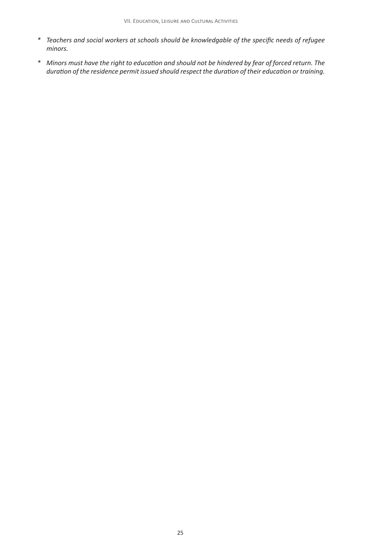- *\* Teachers and social workers at schools should be knowledgable of the specific needs of refugee minors.*
- *\* Minors must have the right to education and should not be hindered by fear of forced return. The duration of the residence permit issued should respect the duration of their education or training.*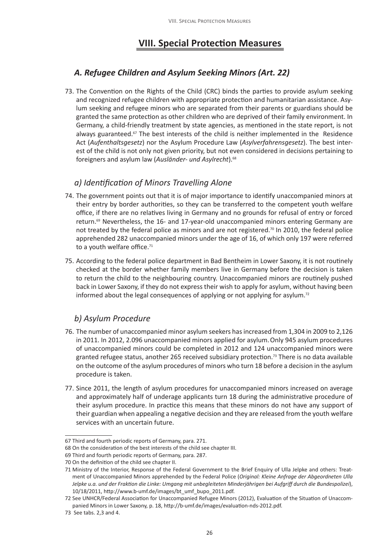# **VIII. Special Protection Measures**

## *A. Refugee Children and Asylum Seeking Minors (Art. 22)*

73. The Convention on the Rights of the Child (CRC) binds the parties to provide asylum seeking and recognized refugee children with appropriate protection and humanitarian assistance. Asylum seeking and refugee minors who are separated from their parents or guardians should be granted the same protection as other children who are deprived of their family environment. In Germany, a child-friendly treatment by state agencies, as mentioned in the state report, is not always guaranteed.<sup>67</sup> The best interests of the child is neither implemented in the Residence Act (*Aufenthaltsgesetz*) nor the Asylum Procedure Law (*Asylverfahrensgesetz*). The best interest of the child is not only not given priority, but not even considered in decisions pertaining to foreigners and asylum law (*Ausländer- und Asylrecht*).68

#### *a) Identification of Minors Travelling Alone*

- 74. The government points out that it is of major importance to identify unaccompanied minors at their entry by border authorities, so they can be transferred to the competent youth welfare office, if there are no relatives living in Germany and no grounds for refusal of entry or forced return.<sup>69</sup> Nevertheless, the 16- and 17-year-old unaccompanied minors entering Germany are not treated by the federal police as minors and are not registered.<sup>70</sup> In 2010, the federal police apprehended 282 unaccompanied minors under the age of 16, of which only 197 were referred to a youth welfare office.<sup>71</sup>
- 75. According to the federal police department in Bad Bentheim in Lower Saxony, it is not routinely checked at the border whether family members live in Germany before the decision is taken to return the child to the neighbouring country. Unaccompanied minors are routinely pushed back in Lower Saxony, if they do not express their wish to apply for asylum, without having been informed about the legal consequences of applying or not applying for asylum.72

#### *b) Asylum Procedure*

- 76. The number of unaccompanied minor asylum seekers has increased from 1,304 in 2009 to 2,126 in 2011. In 2012, 2.096 unaccompanied minors applied for asylum.Only 945 asylum procedures of unaccompanied minors could be completed in 2012 and 124 unaccompanied minors were granted refugee status, another 265 received subsidiary protection.<sup>73</sup> There is no data available on the outcome of the asylum procedures of minors who turn 18 before a decision in the asylum procedure is taken.
- 77. Since 2011, the length of asylum procedures for unaccompanied minors increased on average and approximately half of underage applicants turn 18 during the administrative procedure of their asylum procedure. In practice this means that these minors do not have any support of their guardian when appealing a negative decision and they are released from the youth welfare services with an uncertain future.

<sup>67</sup> Third and fourth periodic reports of Germany, para. 271.

<sup>68</sup> On the consideration of the best interests of the child see chapter III.

<sup>69</sup> Third and fourth periodic reports of Germany, para. 287.

<sup>70</sup> On the definition of the child see chapter II.

<sup>71</sup> Ministry of the Interior, Response of the Federal Government to the Brief Enquiry of Ulla Jelpke and others: Treatment of Unaccompanied Minors apprehended by the Federal Police (*Original: Kleine Anfrage der Abgeordneten Ulla Jelpke u.a. und der Fraktion die Linke: Umgang mit unbegleiteten Minderjährigen bei Aufgriff durch die Bundespolizei*), 10/18/2011, http://www.b-umf.de/images/bt\_umf\_bupo\_2011.pdf.

<sup>72</sup> See UNHCR/Federal Association for Unaccompanied Refugee Minors (2012), Evaluation of the Situation of Unaccompanied Minors in Lower Saxony, p. 18, http://b-umf.de/images/evaluation-nds-2012.pdf.

<sup>73</sup> See tabs. 2,3 and 4.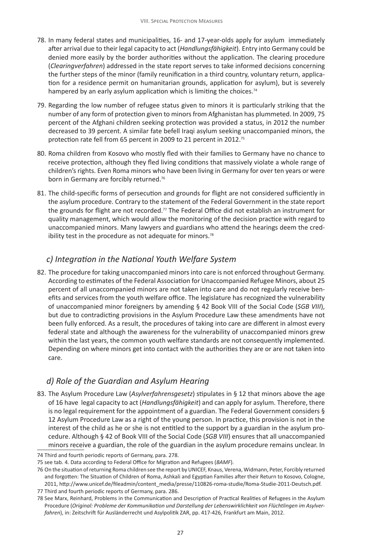- 78. In many federal states and municipalities, 16- and 17-year-olds apply for asylum immediately after arrival due to their legal capacity to act (*Handlungsfähigkeit*). Entry into Germany could be denied more easily by the border authorities without the application. The clearing procedure (*Clearingverfahren*) addressed in the state report serves to take informed decisions concerning the further steps of the minor (family reunification in a third country, voluntary return, application for a residence permit on humanitarian grounds, application for asylum), but is severely hampered by an early asylum application which is limiting the choices.<sup>74</sup>
- 79. Regarding the low number of refugee status given to minors it is particularly striking that the number of any form of protection given to minors from Afghanistan has plummeted. In 2009, 75 percent of the Afghani children seeking protection was provided a status, in 2012 the number decreased to 39 percent. A similar fate befell Iraqi asylum seeking unaccompanied minors, the protection rate fell from 65 percent in 2009 to 21 percent in 2012.75
- 80. Roma children from Kosovo who mostly fled with their families to Germany have no chance to receive protection, although they fled living conditions that massively violate a whole range of children's rights. Even Roma minors who have been living in Germany for over ten years or were born in Germany are forcibly returned.<sup>76</sup>
- 81. The child-specific forms of persecution and grounds for flight are not considered sufficiently in the asylum procedure. Contrary to the statement of the Federal Government in the state report the grounds for flight are not recorded.<sup>77</sup> The Federal Office did not establish an instrument for quality management, which would allow the monitoring of the decision practice with regard to unaccompanied minors. Many lawyers and guardians who attend the hearings deem the credibility test in the procedure as not adequate for minors. $78$

#### *c) Integration in the National Youth Welfare System*

82. The procedure for taking unaccompanied minors into care is not enforced throughout Germany. According to estimates of the Federal Association for Unaccompanied Refugee Minors, about 25 percent of all unaccompanied minors are not taken into care and do not regularly receive benefits and services from the youth welfare office. The legislature has recognized the vulnerability of unaccompanied minor foreigners by amending § 42 Book VIII of the Social Code (*SGB VIII*), but due to contradicting provisions in the Asylum Procedure Law these amendments have not been fully enforced. As a result, the procedures of taking into care are different in almost every federal state and although the awareness for the vulnerability of unaccompanied minors grew within the last years, the common youth welfare standards are not consequently implemented. Depending on where minors get into contact with the authorities they are or are not taken into care.

## *d) Role of the Guardian and Asylum Hearing*

83. The Asylum Procedure Law (*Asylverfahrensgesetz*) stipulates in § 12 that minors above the age of 16 have legal capacity to act (*Handlungsfähigkeit*) and can apply for asylum. Therefore, there is no legal requirement for the appointment of a guardian. The Federal Government considers § 12 Asylum Procedure Law as a right of the young person. In practice, this provision is not in the interest of the child as he or she is not entitled to the support by a guardian in the asylum procedure. Although § 42 of Book VIII of the Social Code (*SGB VIII*) ensures that all unaccompanied minors receive a guardian, the role of the guardian in the asylum procedure remains unclear. In

<sup>74</sup> Third and fourth periodic reports of Germany, para. 278.

<sup>75</sup> see tab. 4. Data according to Federal Office for Migration and Refugees (*BAMF*).

<sup>76</sup> On the situation of returning Roma children see the report by UNICEF, Knaus, Verena, Widmann, Peter, Forcibly returned and forgotten: The Situation of Children of Roma, Ashkali and Egyptian Families after their Return to Kosovo, Cologne, 2011, http://www.unicef.de/fileadmin/content\_media/presse/110826-roma-studie/Roma-Studie-2011-Deutsch.pdf.

<sup>77</sup> Third and fourth periodic reports of Germany, para. 286.

<sup>78</sup> See Marx, Reinhard, Problems in the Communication and Description of Practical Realities of Refugees in the Asylum Procedure (*Original: Probleme der Kommunikation und Darstellung der Lebenswirklichkeit von Flüchtlingen im Asylverfahren*), in: Zeitschrift für Ausländerrecht und Asylpolitik ZAR, pp. 417-426, Frankfurt am Main, 2012.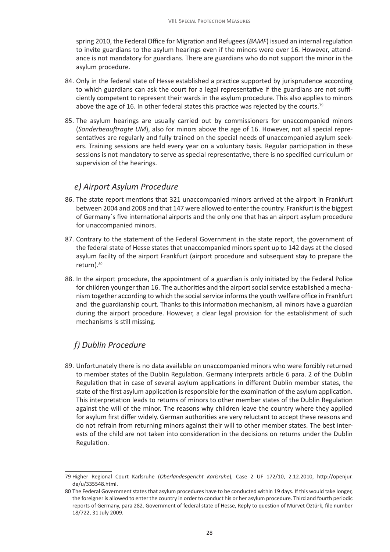spring 2010, the Federal Office for Migration and Refugees (*BAMF*) issued an internal regulation to invite guardians to the asylum hearings even if the minors were over 16. However, attendance is not mandatory for guardians. There are guardians who do not support the minor in the asylum procedure.

- 84. Only in the federal state of Hesse established a practice supported by jurisprudence according to which guardians can ask the court for a legal representative if the guardians are not sufficiently competent to represent their wards in the asylum procedure. This also applies to minors above the age of 16. In other federal states this practice was rejected by the courts.<sup>79</sup>
- 85. The asylum hearings are usually carried out by commissioners for unaccompanied minors (*Sonderbeauftragte UM*), also for minors above the age of 16. However, not all special representatives are regularly and fully trained on the special needs of unaccompanied asylum seekers. Training sessions are held every year on a voluntary basis. Regular participation in these sessions is not mandatory to serve as special representative, there is no specified curriculum or supervision of the hearings.

#### *e) Airport Asylum Procedure*

- 86. The state report mentions that 321 unaccompanied minors arrived at the airport in Frankfurt between 2004 and 2008 and that 147 were allowed to enter the country. Frankfurt is the biggest of Germany´s five international airports and the only one that has an airport asylum procedure for unaccompanied minors.
- 87. Contrary to the statement of the Federal Government in the state report, the government of the federal state of Hesse states that unaccompanied minors spent up to 142 days at the closed asylum facilty of the airport Frankfurt (airport procedure and subsequent stay to prepare the return). 80
- 88. In the airport procedure, the appointment of a guardian is only initiated by the Federal Police for children younger than 16. The authorities and the airport social service established a mechanism together according to which the social service informs the youth welfare office in Frankfurt and the guardianship court. Thanks to this information mechanism, all minors have a guardian during the airport procedure. However, a clear legal provision for the establishment of such mechanisms is still missing.

# *f) Dublin Procedure*

89. Unfortunately there is no data available on unaccompanied minors who were forcibly returned to member states of the Dublin Regulation. Germany interprets article 6 para. 2 of the Dublin Regulation that in case of several asylum applications in different Dublin member states, the state of the first asylum application is responsible for the examination of the asylum application. This interpretation leads to returns of minors to other member states of the Dublin Regulation against the will of the minor. The reasons why children leave the country where they applied for asylum first differ widely. German authorities are very reluctant to accept these reasons and do not refrain from returning minors against their will to other member states. The best interests of the child are not taken into consideration in the decisions on returns under the Dublin Regulation.

<sup>79</sup> Higher Regional Court Karlsruhe (*Oberlandesgericht Karlsruhe*), Case 2 UF 172/10, 2.12.2010, http://openjur. de/u/335548.html.

<sup>80</sup> The Federal Government states that asylum procedures have to be conducted within 19 days. If this would take longer, the foreigner is allowed to enter the country in order to conduct his or her asylum procedure. Third and fourth periodic reports of Germany, para 282. Government of federal state of Hesse, Reply to question of Mürvet Öztürk, file number 18/722, 31 July 2009.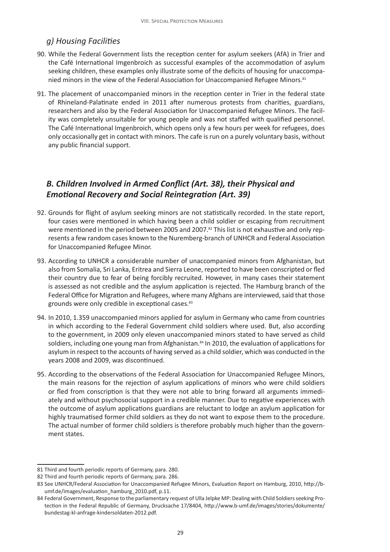## *g) Housing Facilities*

- 90. While the Federal Government lists the reception center for asylum seekers (AfA) in Trier and the Café International Imgenbroich as successful examples of the accommodation of asylum seeking children, these examples only illustrate some of the deficits of housing for unaccompanied minors in the view of the Federal Association for Unaccompanied Refugee Minors.<sup>81</sup>
- 91. The placement of unaccompanied minors in the reception center in Trier in the federal state of Rhineland-Palatinate ended in 2011 after numerous protests from charities, guardians, researchers and also by the Federal Association for Unaccompanied Refugee Minors. The facility was completely unsuitable for young people and was not staffed with qualified personnel. The Café International Imgenbroich, which opens only a few hours per week for refugees, does only occasionally get in contact with minors. The cafe is run on a purely voluntary basis, without any public financial support.

#### *B. Children Involved in Armed Conflict (Art. 38), their Physical and Emotional Recovery and Social Reintegration (Art. 39)*

- 92. Grounds for flight of asylum seeking minors are not statistically recorded. In the state report, four cases were mentioned in which having been a child soldier or escaping from recruitment were mentioned in the period between 2005 and 2007.<sup>82</sup> This list is not exhaustive and only represents a few random cases known to the Nuremberg-branch of UNHCR and Federal Association for Unaccompanied Refugee Minor.
- 93. According to UNHCR a considerable number of unaccompanied minors from Afghanistan, but also from Somalia, Sri Lanka, Eritrea and Sierra Leone, reported to have been conscripted or fled their country due to fear of being forcibly recruited. However, in many cases their statement is assessed as not credible and the asylum application is rejected. The Hamburg branch of the Federal Office for Migration and Refugees, where many Afghans are interviewed, said that those grounds were only credible in exceptional cases.<sup>83</sup>
- 94. In 2010, 1.359 unaccompanied minors applied for asylum in Germany who came from countries in which according to the Federal Government child soldiers where used. But, also according to the government, in 2009 only eleven unaccompanied minors stated to have served as child soldiers, including one young man from Afghanistan.<sup>84</sup> In 2010, the evaluation of applications for asylum in respect to the accounts of having served as a child soldier, which was conducted in the years 2008 and 2009, was discontinued.
- 95. According to the observations of the Federal Association for Unaccompanied Refugee Minors, the main reasons for the rejection of asylum applications of minors who were child soldiers or fled from conscription is that they were not able to bring forward all arguments immediately and without psychosocial support in a credible manner. Due to negative experiences with the outcome of asylum applications guardians are reluctant to lodge an asylum application for highly traumatised former child soldiers as they do not want to expose them to the procedure. The actual number of former child soldiers is therefore probably much higher than the government states.

<sup>81</sup> Third and fourth periodic reports of Germany, para. 280.

<sup>82</sup> Third and fourth periodic reports of Germany, para. 286.

<sup>83</sup> See UNHCR/Federal Association for Unaccompanied Refugee Minors, Evaluation Report on Hamburg, 2010, http://bumf.de/images/evaluation\_hamburg\_2010.pdf, p.11.

<sup>84</sup> Federal Government, Response to the parliamentary request of Ulla Jelpke MP: Dealing with Child Soldiers seeking Protection in the Federal Republic of Germany, Drucksache 17/8404, http://www.b-umf.de/images/stories/dokumente/ bundestag-kl-anfrage-kindersoldaten-2012.pdf.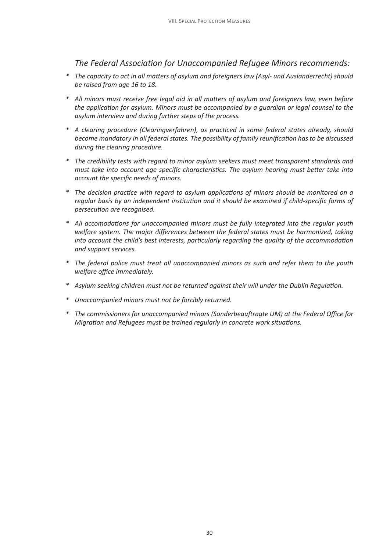- *\* The capacity to act in all matters of asylum and foreigners law (Asyl- und Ausländerrecht) should be raised from age 16 to 18.*
- *\* All minors must receive free legal aid in all matters of asylum and foreigners law, even before the application for asylum. Minors must be accompanied by a guardian or legal counsel to the asylum interview and during further steps of the process.*
- *\* A clearing procedure (Clearingverfahren), as practiced in some federal states already, should become mandatory in all federal states. The possibility of family reunification has to be discussed during the clearing procedure.*
- *\* The credibility tests with regard to minor asylum seekers must meet transparent standards and must take into account age specific characteristics. The asylum hearing must better take into account the specific needs of minors.*
- *\* The decision practice with regard to asylum applications of minors should be monitored on a regular basis by an independent institution and it should be examined if child-specific forms of persecution are recognised.*
- *\* All accomodations for unaccompanied minors must be fully integrated into the regular youth welfare system. The major differences between the federal states must be harmonized, taking into account the child's best interests, particularly regarding the quality of the accommodation and support services.*
- *\* The federal police must treat all unaccompanied minors as such and refer them to the youth welfare office immediately.*
- *\* Asylum seeking children must not be returned against their will under the Dublin Regulation.*
- *\* Unaccompanied minors must not be forcibly returned.*
- *\* The commissioners for unaccompanied minors (Sonderbeauftragte UM) at the Federal Office for Migration and Refugees must be trained regularly in concrete work situations.*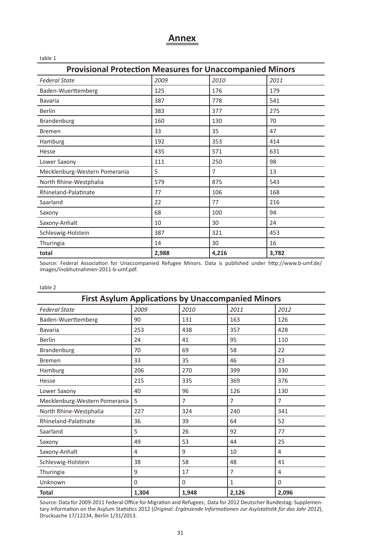#### **Annex**

| <b>Provisional Protection Measures for Unaccompanied Minors</b> |       |                |       |  |
|-----------------------------------------------------------------|-------|----------------|-------|--|
| <b>Federal State</b>                                            | 2009  | 2010           | 2011  |  |
| Baden-Wuerttemberg                                              | 125   | 176            | 179   |  |
| <b>Bavaria</b>                                                  | 387   | 778            | 541   |  |
| <b>Berlin</b>                                                   | 383   | 377            | 275   |  |
| Brandenburg                                                     | 160   | 130            | 70    |  |
| <b>Bremen</b>                                                   | 33    | 35             | 47    |  |
| Hamburg                                                         | 192   | 353            | 414   |  |
| Hesse                                                           | 435   | 571            | 631   |  |
| Lower Saxony                                                    | 111   | 250            | 98    |  |
| Mecklenburg-Western Pomerania                                   | 5     | $\overline{7}$ | 13    |  |
| North Rhine-Westphalia                                          | 579   | 875            | 543   |  |
| Rhineland-Palatinate                                            | 77    | 106            | 168   |  |
| Saarland                                                        | 22    | 77             | 216   |  |
| Saxony                                                          | 68    | 100            | 94    |  |
| Saxony-Anhalt                                                   | 10    | 30             | 24    |  |
| Schleswig-Holstein                                              | 387   | 321            | 453   |  |
| Thuringia                                                       | 14    | 30             | 16    |  |
| total                                                           | 2,988 | 4,216          | 3,782 |  |

Source: Federal Association for Unaccompanied Refugee Minors. Data is published under http://www.b-umf.de/ images/inobhutnahmen-2011-b-umf.pdf.

#### table 2

| <b>First Asylum Applications by Unaccompanied Minors</b> |       |                |                |                |
|----------------------------------------------------------|-------|----------------|----------------|----------------|
| <b>Federal State</b>                                     | 2009  | 2010           | 2011           | 2012           |
| Baden-Wuerttemberg                                       | 90    | 131            | 163            | 126            |
| <b>Bavaria</b>                                           | 253   | 438            | 357            | 428            |
| <b>Berlin</b>                                            | 24    | 41             | 95             | 110            |
| Brandenburg                                              | 70    | 69             | 58             | 22             |
| <b>Bremen</b>                                            | 33    | 35             | 46             | 23             |
| Hamburg                                                  | 206   | 270            | 399            | 330            |
| Hesse                                                    | 215   | 335            | 369            | 376            |
| Lower Saxony                                             | 40    | 96             | 126            | 130            |
| Mecklenburg-Western Pomerania                            | 5     | $\overline{7}$ | $\overline{7}$ | $\overline{7}$ |
| North Rhine-Westphalia                                   | 227   | 324            | 240            | 341            |
| Rhineland-Palatinate                                     | 36    | 39             | 64             | 52             |
| Saarland                                                 | 5     | 26             | 92             | 77             |
| Saxony                                                   | 49    | 53             | 44             | 25             |
| Saxony-Anhalt                                            | 4     | 9              | 10             | 4              |
| Schleswig-Holstein                                       | 38    | 58             | 48             | 41             |
| Thuringia                                                | 9     | 17             | 7              | 4              |
| Unknown                                                  | 0     | $\mathbf 0$    | 1              | $\Omega$       |
| <b>Total</b>                                             | 1,304 | 1,948          | 2,126          | 2,096          |

Source: Data for 2009-2011 Federal Office for Migration and Refugees; Data for 2012 Deutscher Bundestag: Supplementary Information on the Asylum Statistics 2012 (*Original: Ergänzende Informationen zur Asylstatistik für das Jahr 2012*), Drucksache 17/12234, Berlin 1/31/2013.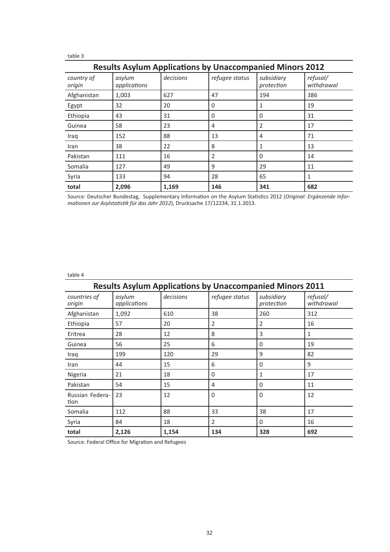| ٠<br>×<br>×<br>×<br>۰. | ٧ |
|------------------------|---|
|------------------------|---|

| <b>Results Asylum Applications by Unaccompanied Minors 2012</b> |                        |           |                |                          |                        |
|-----------------------------------------------------------------|------------------------|-----------|----------------|--------------------------|------------------------|
| country of<br>origin                                            | asylum<br>applications | decisions | refugee status | subsidiary<br>protection | refusal/<br>withdrawal |
| Afghanistan                                                     | 1,003                  | 627       | 47             | 194                      | 386                    |
| Egypt                                                           | 32                     | 20        | $\Omega$       | 1                        | 19                     |
| Ethiopia                                                        | 43                     | 31        | $\Omega$       | 0                        | 31                     |
| Guinea                                                          | 58                     | 23        | 4              | 2                        | 17                     |
| Iraq                                                            | 152                    | 88        | 13             | 4                        | 71                     |
| Iran                                                            | 38                     | 22        | 8              |                          | 13                     |
| Pakistan                                                        | 111                    | 16        | $\overline{2}$ | 0                        | 14                     |
| Somalia                                                         | 127                    | 49        | 9              | 29                       | 11                     |
| Syria                                                           | 133                    | 94        | 28             | 65                       | 1                      |
| total                                                           | 2,096                  | 1,169     | 146            | 341                      | 682                    |

Source: Deutscher Bundestag, Supplementary Information on the Asylum Statistics 2012 (*Original: Ergänzende Informationen zur Asylstatistik für das Jahr 2012*), Drucksache 17/12234, 31.1.2013.

#### table 4

| <b>Results Asylum Applications by Unaccompanied Minors 2011</b> |                        |           |                |                          |                        |
|-----------------------------------------------------------------|------------------------|-----------|----------------|--------------------------|------------------------|
| countries of<br>origin                                          | asylum<br>applications | decisions | refugee status | subsidiary<br>protection | refusal/<br>withdrawal |
| Afghanistan                                                     | 1,092                  | 610       | 38             | 260                      | 312                    |
| Ethiopia                                                        | 57                     | 20        | 2              | $\overline{2}$           | 16                     |
| Eritrea                                                         | 28                     | 12        | 8              | 3                        | $\mathbf{1}$           |
| Guinea                                                          | 56                     | 25        | 6              | 0                        | 19                     |
| Iraq                                                            | 199                    | 120       | 29             | 9                        | 82                     |
| Iran                                                            | 44                     | 15        | 6              | $\Omega$                 | 9                      |
| Nigeria                                                         | 21                     | 18        | $\Omega$       | 1                        | 17                     |
| Pakistan                                                        | 54                     | 15        | 4              | $\Omega$                 | 11                     |
| Russian Federa-<br>tion                                         | 23                     | 12        | $\Omega$       | $\Omega$                 | 12                     |
| Somalia                                                         | 112                    | 88        | 33             | 38                       | 17                     |
| Syria                                                           | 84                     | 18        | 2              | 0                        | 16                     |
| total                                                           | 2,126                  | 1,154     | 134            | 328                      | 692                    |

Source: Federal Office for Migration and Refugees